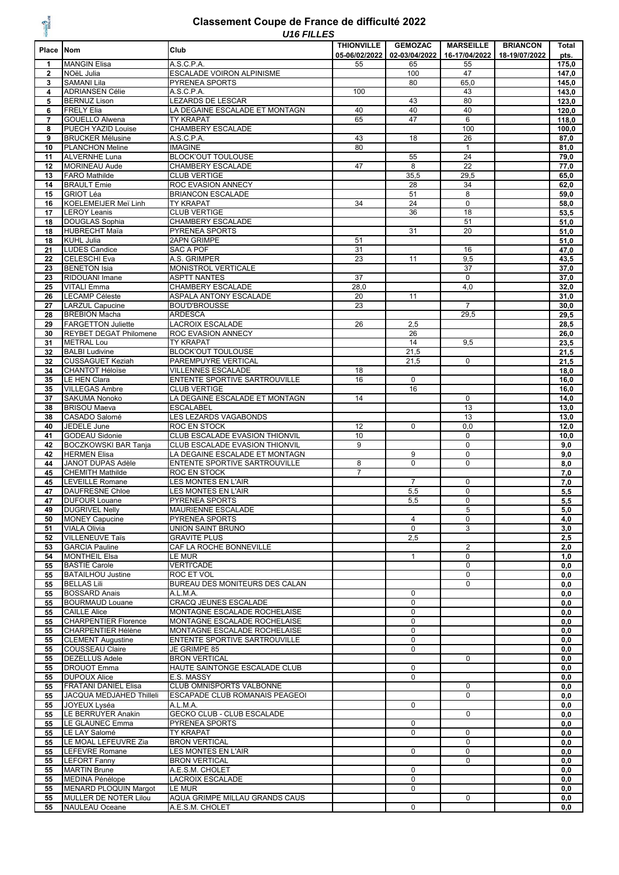### WEIGHT ?

### Classement Coupe de France de difficulté 2022

| 三葉             |                                                    | U IO FILLES                                                     | <b>THIONVILLE</b> | <b>GEMOZAC</b>   | <b>MARSEILLE</b>  | <b>BRIANCON</b> | Total          |
|----------------|----------------------------------------------------|-----------------------------------------------------------------|-------------------|------------------|-------------------|-----------------|----------------|
| Place Nom      |                                                    | Club                                                            | 05-06/02/2022     | 02-03/04/2022    | 16-17/04/2022     | 18-19/07/2022   | pts.           |
| 1              | <b>MANGIN Elisa</b>                                | A.S.C.P.A.                                                      | 55                | 65               | 55                |                 | 175,0          |
| $\mathbf{2}$   | NOëL Julia                                         | <b>ESCALADE VOIRON ALPINISME</b>                                |                   | 100              | 47                |                 | 147,0          |
| 3              | <b>SAMANI Lila</b>                                 | <b>PYRENEA SPORTS</b>                                           |                   | 80               | 65,0              |                 | 145,0          |
| 4<br>5         | <b>ADRIANSEN Célie</b><br><b>BERNUZ Lison</b>      | A.S.C.P.A.<br><b>LEZARDS DE LESCAR</b>                          | 100               | 43               | 43<br>80          |                 | 143,0<br>123,0 |
| 6              | <b>FRELY Elia</b>                                  | LA DEGAINE ESCALADE ET MONTAGN                                  | 40                | 40               | 40                |                 | 120,0          |
| $\overline{7}$ | <b>GOUELLO Alwena</b>                              | <b>TY KRAPAT</b>                                                | 65                | 47               | 6                 |                 | 118,0          |
| 8              | PUECH YAZID Louise                                 | CHAMBERY ESCALADE                                               |                   |                  | 100               |                 | 100,0          |
| 9              | <b>BRUCKER Mélusine</b>                            | A.S.C.P.A.                                                      | 43                | 18               | 26                |                 | 87,0           |
| 10             | <b>PLANCHON Meline</b>                             | <b>IMAGINE</b>                                                  | 80                |                  | $\mathbf{1}$      |                 | 81,0           |
| 11             | <b>ALVERNHE Luna</b>                               | <b>BLOCK'OUT TOULOUSE</b>                                       |                   | 55               | 24                |                 | 79,0           |
| 12             | <b>MORINEAU Aude</b>                               | CHAMBERY ESCALADE                                               | 47                | 8                | 22                |                 | 77,0           |
| 13<br>14       | <b>FARO Mathilde</b><br><b>BRAULT Emie</b>         | <b>CLUB VERTIGE</b><br>ROC EVASION ANNECY                       |                   | 35,5<br>28       | 29,5<br>34        |                 | 65,0<br>62,0   |
| 15             | <b>GRIOT Léa</b>                                   | <b>BRIANCON ESCALADE</b>                                        |                   | 51               | 8                 |                 | 59,0           |
| 16             | KOELEMEIJER Meï Linh                               | TY KRAPAT                                                       | 34                | 24               | 0                 |                 | 58,0           |
| 17             | <b>LEROY Leanis</b>                                | <b>CLUB VERTIGE</b>                                             |                   | 36               | 18                |                 | 53,5           |
| 18             | <b>DOUGLAS Sophia</b>                              | CHAMBERY ESCALADE                                               |                   |                  | 51                |                 | 51,0           |
| 18             | <b>HUBRECHT Maïa</b>                               | PYRENEA SPORTS                                                  |                   | 31               | 20                |                 | 51,0           |
| 18             | <b>KUHL Julia</b>                                  | <b>2APN GRIMPE</b>                                              | 51                |                  |                   |                 | 51,0           |
| 21             | <b>LUDES Candice</b>                               | <b>SAC A POF</b>                                                | 31                |                  | 16                |                 | 47,0           |
| 22             | <b>CELESCHI Eva</b>                                | A.S. GRIMPER                                                    | 23                | 11               | 9,5               |                 | 43,5           |
| 23<br>23       | <b>BENETON Isia</b><br>RIDOUANI Imane              | MONISTROL VERTICALE<br><b>ASPTT NANTES</b>                      | 37                |                  | 37<br>$\mathbf 0$ |                 | 37,0<br>37,0   |
| 25             | <b>VITALI Emma</b>                                 | CHAMBERY ESCALADE                                               | 28,0              |                  | 4,0               |                 | 32,0           |
| 26             | <b>LECAMP Céleste</b>                              | ASPALA ANTONY ESCALADE                                          | 20                | 11               |                   |                 | 31,0           |
| 27             | <b>LARZUL Capucine</b>                             | <b>BOU'D'BROUSSE</b>                                            | 23                |                  | $\overline{7}$    |                 | 30,0           |
| 28             | <b>BREBION Macha</b>                               | <b>ARDESCA</b>                                                  |                   |                  | 29,5              |                 | 29,5           |
| 29             | <b>FARGETTON Juliette</b>                          | <b>LACROIX ESCALADE</b>                                         | 26                | 2,5              |                   |                 | 28,5           |
| 30             | <b>REYBET DEGAT Philomene</b>                      | ROC EVASION ANNECY                                              |                   | 26               |                   |                 | 26,0           |
| 31             | <b>METRAL Lou</b>                                  | <b>TY KRAPAT</b>                                                |                   | 14               | 9,5               |                 | 23,5           |
| 32             | <b>BALBI Ludivine</b>                              | <b>BLOCK'OUT TOULOUSE</b>                                       |                   | 21,5             |                   |                 | 21,5           |
| 32<br>34       | <b>CUSSAGUET Keziah</b><br><b>CHANTOT Héloïse</b>  | PAREMPUYRE VERTICAL<br><b>VILLENNES ESCALADE</b>                | 18                | 21,5             | $\mathbf 0$       |                 | 21,5<br>18,0   |
| 35             | LE HEN Clara                                       | ENTENTE SPORTIVE SARTROUVILLE                                   | 16                | $\mathbf 0$      |                   |                 | 16,0           |
| 35             | <b>VILLEGAS Ambre</b>                              | <b>CLUB VERTIGE</b>                                             |                   | 16               |                   |                 | 16,0           |
| 37             | <b>SAKUMA Nonoko</b>                               | LA DEGAINE ESCALADE ET MONTAGN                                  | 14                |                  | $\mathbf 0$       |                 | 14,0           |
| 38             | <b>BRISOU Maeva</b>                                | <b>ESCALABEL</b>                                                |                   |                  | 13                |                 | 13,0           |
| 38             | CASADO Salomé                                      | LES LEZARDS VAGABONDS                                           |                   |                  | 13                |                 | 13,0           |
| 40             | JEDELE June                                        | ROC EN STOCK                                                    | 12                | $\Omega$         | 0,0               |                 | 12,0           |
| 41             | <b>GODEAU Sidonie</b>                              | CLUB ESCALADE EVASION THIONVIL                                  | 10                |                  | 0                 |                 | 10,0           |
| 42             | <b>BOCZKOWSKI BAR Tanja</b>                        | CLUB ESCALADE EVASION THIONVIL                                  | 9                 |                  | $\mathbf 0$       |                 | 9,0            |
| 42             | <b>HERMEN Elisa</b><br><b>JANOT DUPAS Adèle</b>    | LA DEGAINE ESCALADE ET MONTAGN<br>ENTENTE SPORTIVE SARTROUVILLE | 8                 | 9<br>$\Omega$    | 0<br>0            |                 | 9,0            |
| 44<br>45       | <b>CHEMITH Mathilde</b>                            | ROC EN STOCK                                                    | $\overline{7}$    |                  |                   |                 | 8,0<br>7,0     |
| 45             | <b>LEVEILLE Romane</b>                             | <b>LES MONTES EN L'AIR</b>                                      |                   | $\overline{7}$   | $\mathbf 0$       |                 | 7,0            |
| 47             | <b>DAUFRESNE Chloe</b>                             | LES MONTES EN L'AIR                                             |                   | 5,5              | 0                 |                 | 5,5            |
| 47             | <b>DUFOUR Louane</b>                               | PYRENEA SPORTS                                                  |                   | 5,5              | 0                 |                 | 5,5            |
| 49             | <b>DUGRIVEL Nelly</b>                              | MAURIENNE ESCALADE                                              |                   |                  | 5                 |                 | 5,0            |
| 50             | <b>MONEY Capucine</b>                              | PYRENEA SPORTS                                                  |                   | 4                | 0                 |                 | 4,0            |
| 51             | <b>VIALA Olivia</b>                                | UNION SAINT BRUNO                                               |                   | 0                | 3                 |                 | 3,0            |
| 52             | <b>VILLENEUVE Taïs</b>                             | <b>GRAVITE PLUS</b>                                             |                   | 2,5              |                   |                 | 2,5            |
| 53             | <b>GARCIA Pauline</b><br><b>MONTHEIL Elsa</b>      | CAF LA ROCHE BONNEVILLE<br>LE MUR                               |                   |                  | 2<br>0            |                 | 2,0            |
| 54<br>55       | <b>BASTIE Carole</b>                               | <b>VERTI'CADE</b>                                               |                   | $\mathbf{1}$     | 0                 |                 | 1,0<br>0,0     |
| 55             | <b>BATAILHOU Justine</b>                           | ROC ET VOL                                                      |                   |                  | $\mathbf 0$       |                 | 0, 0           |
| 55             | <b>BELLAS Lili</b>                                 | BUREAU DES MONITEURS DES CALAN                                  |                   |                  | 0                 |                 | 0,0            |
| 55             | <b>BOSSARD Anais</b>                               | A.L.M.A.                                                        |                   | $\mathbf 0$      |                   |                 | 0, 0           |
| 55             | <b>BOURMAUD Louane</b>                             | CRACQ JEUNES ESCALADE                                           |                   | 0                |                   |                 | 0, 0           |
| 55             | <b>CAILLE Alice</b>                                | MONTAGNE ESCALADE ROCHELAISE                                    |                   | $\mathbf 0$      |                   |                 | 0,0            |
| 55             | <b>CHARPENTIER Florence</b>                        | MONTAGNE ESCALADE ROCHELAISE                                    |                   | $\mathbf 0$      |                   |                 | 0, 0           |
| 55             | <b>CHARPENTIER Hélène</b>                          | MONTAGNE ESCALADE ROCHELAISE                                    |                   | $\mathbf 0$      |                   |                 | 0,0            |
| 55<br>55       | <b>CLEMENT Augustine</b><br><b>COUSSEAU Claire</b> | ENTENTE SPORTIVE SARTROUVILLE<br>JE GRIMPE 85                   |                   | 0<br>$\mathbf 0$ |                   |                 | 0,0<br>0,0     |
| 55             | <b>DEZELLUS Adele</b>                              | <b>BRON VERTICAL</b>                                            |                   |                  | $\mathbf 0$       |                 | 0, 0           |
| 55             | <b>DROUOT Emma</b>                                 | HAUTE SAINTONGE ESCALADE CLUB                                   |                   | 0                |                   |                 | 0,0            |
| 55             | <b>DUPOUX Alice</b>                                | E.S. MASSY                                                      |                   | 0                |                   |                 | 0, 0           |
| 55             | <b>FRATANI DANIEL Elisa</b>                        | CLUB OMNISPORTS VALBONNE                                        |                   |                  | 0                 |                 | 0,0            |
| 55             | JACQUA MEDJAHED Thilleli                           | ESCAPADE CLUB ROMANAIS PEAGEOI                                  |                   |                  | $\mathbf 0$       |                 | 0, 0           |
| 55             | JOYEUX Lyséa                                       | A.L.M.A.                                                        |                   | 0                |                   |                 | 0,0            |
| 55             | LE BERRUYER Anakin                                 | GECKO CLUB - CLUB ESCALADE                                      |                   |                  | 0                 |                 | 0,0            |
| 55             | LE GLAUNEC Emma                                    | PYRENEA SPORTS                                                  |                   | $\mathbf 0$      |                   |                 | 0,0            |
| 55<br>55       | LE LAY Salomé<br>LE MOAL LEFEUVRE Zia              | TY KRAPAT<br><b>BRON VERTICAL</b>                               |                   | $\mathbf 0$      | 0<br>$\mathbf 0$  |                 | 0,0<br>0,0     |
| 55             | <b>LEFEVRE Romane</b>                              | LES MONTES EN L'AIR                                             |                   | 0                | 0                 |                 | 0,0            |
| 55             | <b>LEFORT Fanny</b>                                | <b>BRON VERTICAL</b>                                            |                   |                  | 0                 |                 | 0,0            |
| 55             | <b>MARTIN Brune</b>                                | A.E.S.M. CHOLET                                                 |                   | 0                |                   |                 | 0,0            |
| 55             | <b>MEDINA Pénélope</b>                             | LACROIX ESCALADE                                                |                   | $\mathbf 0$      |                   |                 | 0,0            |
| 55             | MENARD PLOQUIN Margot                              | LE MUR                                                          |                   | $\mathbf 0$      |                   |                 | 0,0            |
| 55             | MULLER DE NOTER Lilou                              | AQUA GRIMPE MILLAU GRANDS CAUS                                  |                   |                  | 0                 |                 | 0,0            |
| 55             | <b>NAULEAU Oceane</b>                              | A.E.S.M. CHOLET                                                 |                   | 0                |                   |                 | 0,0            |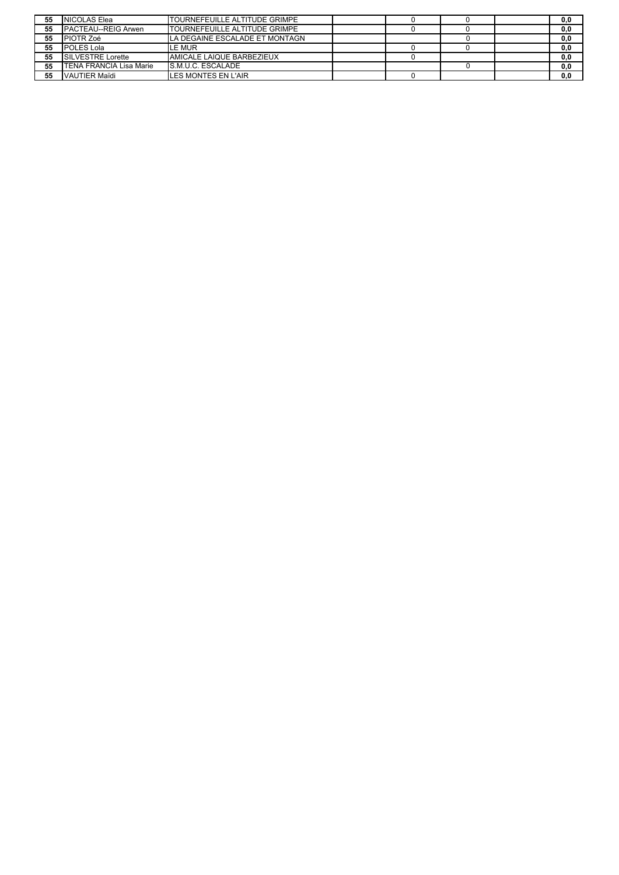| 55 | NICOLAS Elea                   | <b>ITOURNEFEUILLE ALTITUDE GRIMPE</b> |  |  | 0,0 |
|----|--------------------------------|---------------------------------------|--|--|-----|
| 55 | <b>PACTEAU--REIG Arwen</b>     | <b>TOURNEFEUILLE ALTITUDE GRIMPE</b>  |  |  | 0,0 |
| 55 | <b>PIOTR Zoé</b>               | LA DEGAINE ESCALADE ET MONTAGN        |  |  | 0,0 |
| 55 | POLES Lola                     | L <b>E MUR</b>                        |  |  | 0,0 |
| 55 | SILVESTRE Lorette              | AMICALE LAIQUE BARBEZIEUX             |  |  | 0,0 |
| 55 | <b>TENA FRANCIA Lisa Marie</b> | <b>S.M.U.C. ESCALADE</b>              |  |  | 0,0 |
| 55 | VAUTIER Maïdi                  | <b>LES MONTES EN L'AIR</b>            |  |  | 0.0 |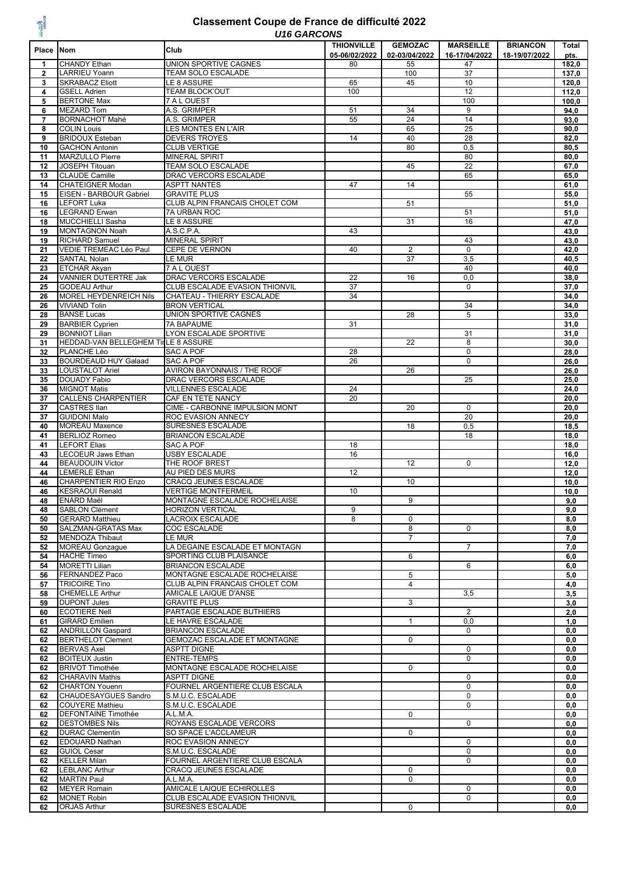#### *U16 GARCONS* **Classement Coupe de France de difficulté 2022**

| Place Nom      |                                                              | טויטטאומט טו ט<br>Club                                       | <b>THIONVILLE</b>   | <b>GEMOZAC</b>      | <b>MARSEILLE</b>      | <b>BRIANCON</b> | Total         |
|----------------|--------------------------------------------------------------|--------------------------------------------------------------|---------------------|---------------------|-----------------------|-----------------|---------------|
| 1              | <b>CHANDY Ethan</b>                                          | UNION SPORTIVE CAGNES                                        | 05-06/02/2022<br>80 | 02-03/04/2022<br>55 | 16-17/04/2022<br>47   | 18-19/07/2022   | pts.<br>182,0 |
| $\mathbf{2}$   | LARRIEU Yoann                                                | TEAM SOLO ESCALADE                                           |                     | 100                 | 37                    |                 | 137,0         |
| 3              | <b>SKRABACZ Eliott</b>                                       | LE 8 ASSURE                                                  | 65                  | 45                  | 10                    |                 | 120,0         |
| 4              | <b>GSELL Adrien</b>                                          | TEAM BLOCK'OUT                                               | 100                 |                     | 12                    |                 | 112,0         |
| 5<br>6         | <b>BERTONE Max</b><br><b>MEZARD Tom</b>                      | 7 A L OUEST<br>A.S. GRIMPER                                  | 51                  | 34                  | 100<br>9              |                 | 100,0<br>94,0 |
| $\overline{7}$ | <b>BORNACHOT Mahé</b>                                        | A.S. GRIMPER                                                 | 55                  | 24                  | 14                    |                 | 93,0          |
| 8              | <b>COLIN Louis</b>                                           | LES MONTES EN L'AIR                                          |                     | 65                  | $\overline{25}$       |                 | 90,0          |
| 9              | <b>BRIDOUX Esteban</b><br><b>GACHON Antonin</b>              | <b>DEVERS TROYES</b>                                         | 14                  | 40                  | 28                    |                 | 82,0          |
| 10<br>11       | <b>MARZULLO Pierre</b>                                       | <b>CLUB VERTIGE</b><br><b>MINERAL SPIRIT</b>                 |                     | 80                  | 0,5<br>80             |                 | 80,5<br>80,0  |
| 12             | <b>JOSEPH Titouan</b>                                        | <b>TEAM SOLO ESCALADE</b>                                    |                     | 45                  | 22                    |                 | 67,0          |
| 13             | <b>CLAUDE Camille</b>                                        | DRAC VERCORS ESCALADE                                        |                     |                     | 65                    |                 | 65,0          |
| 14             | <b>CHATEIGNER Modan</b>                                      | <b>ASPTT NANTES</b>                                          | 47                  | 14                  |                       |                 | 61,0          |
| 15<br>16       | EISEN - BARBOUR Gabriel<br>LEFORT Luka                       | <b>GRAVITE PLUS</b><br>CLUB ALPIN FRANCAIS CHOLET COM        |                     | 51                  | 55                    |                 | 55,0<br>51,0  |
| 16             | <b>LEGRAND Erwan</b>                                         | 7A URBAN ROC                                                 |                     |                     | 51                    |                 | 51,0          |
| 18             | <b>MUCCHIELLI Sasha</b>                                      | LE 8 ASSURE                                                  |                     | 31                  | 16                    |                 | 47,0          |
| 19             | <b>MONTAGNON Noah</b>                                        | A.S.C.P.A.                                                   | 43                  |                     |                       |                 | 43,0          |
| 19<br>21       | <b>RICHARD Samuel</b><br>VEDIE TREMEAC Léo Paul              | <b>MINERAL SPIRIT</b><br><b>CEPE DE VERNON</b>               | 40                  | $\overline{2}$      | 43<br>$\mathbf 0$     |                 | 43,0<br>42,0  |
| 22             | <b>SANTAL Nolan</b>                                          | LE MUR                                                       |                     | 37                  | 3,5                   |                 | 40,5          |
| 23             | <b>ETCHAR Akyan</b>                                          | 7 A L OUEST                                                  |                     |                     | 40                    |                 | 40,0          |
| 24             | VANNIER DUTERTRE Jak                                         | DRAC VERCORS ESCALADE                                        | 22                  | 16                  | 0,0                   |                 | 38,0          |
| 25<br>26       | <b>GODEAU Arthur</b><br>MOREL HEYDENREICH Nils               | CLUB ESCALADE EVASION THIONVIL<br>CHATEAU - THIERRY ESCALADE | 37<br>34            |                     | 0                     |                 | 37,0<br>34,0  |
| 26             | <b>VIVIAND Tolin</b>                                         | <b>BRON VERTICAL</b>                                         |                     |                     | 34                    |                 | 34,0          |
| 28             | <b>BANSE Lucas</b>                                           | UNION SPORTIVE CAGNES                                        |                     | 28                  | $\overline{5}$        |                 | 33,0          |
| 29             | <b>BARBIER Cyprien</b>                                       | <b>7A BAPAUME</b>                                            | 31                  |                     |                       |                 | 31,0          |
| 29<br>31       | <b>BONNIOT Lilian</b><br>HEDDAD-VAN BELLEGHEM TirLE 8 ASSURE | LYON ESCALADE SPORTIVE                                       |                     | 22                  | 31<br>8               |                 | 31,0<br>30,0  |
| 32             | PLANCHE Léo                                                  | <b>SAC A POF</b>                                             | 28                  |                     | $\pmb{0}$             |                 | 28,0          |
| 33             | <b>BOURDEAUD HUY Galaad</b>                                  | SAC A POF                                                    | 26                  |                     | $\mathbf 0$           |                 | 26,0          |
| 33             | <b>LOUSTALOT Ariel</b>                                       | AVIRON BAYONNAIS / THE ROOF                                  |                     | 26                  |                       |                 | 26,0          |
| 35<br>36       | <b>DOUADY Fabio</b><br><b>MIGNOT Matis</b>                   | DRAC VERCORS ESCALADE<br><b>VILLENNES ESCALADE</b>           | 24                  |                     | 25                    |                 | 25,0<br>24,0  |
| 37             | <b>CALLENS CHARPENTIER</b>                                   | CAF EN TETE NANCY                                            | 20                  |                     |                       |                 | 20,0          |
| 37             | <b>CASTRES Ilan</b>                                          | CIME - CARBONNE IMPULSION MONT                               |                     | 20                  | $\mathbf 0$           |                 | 20,0          |
| 37             | <b>GUIDONI Malo</b>                                          | ROC EVASION ANNECY                                           |                     |                     | 20                    |                 | 20,0          |
| 40<br>41       | <b>MOREAU Maxence</b><br><b>BERLIOZ Romeo</b>                | SURESNES ESCALADE<br><b>BRIANCON ESCALADE</b>                |                     | 18                  | 0,5<br>18             |                 | 18,5<br>18,0  |
| 41             | <b>LEFORT Elias</b>                                          | <b>SAC A POF</b>                                             | 18                  |                     |                       |                 | 18,0          |
| 43             | <b>LECOEUR Jaws Ethan</b>                                    | <b>USBY ESCALADE</b>                                         | 16                  |                     |                       |                 | 16,0          |
| 44             | <b>BEAUDOUIN Victor</b>                                      | THE ROOF BREST                                               |                     | 12                  | $\mathbf 0$           |                 | 12,0          |
| 44<br>46       | <b>LEMERLE Ethan</b><br><b>CHARPENTIER RIO Enzo</b>          | AU PIED DES MURS<br><b>CRACQ JEUNES ESCALADE</b>             | 12                  | 10                  |                       |                 | 12,0<br>10.0  |
| 46             | <b>KESRAOUI Renald</b>                                       | <b>VERTIGE MONTFERMEIL</b>                                   | 10                  |                     |                       |                 | 10,0          |
| 48             | <b>ENARD Maël</b>                                            | MONTAGNE ESCALADE ROCHELAISE                                 |                     | 9                   |                       |                 | 9.0           |
| 48             | SABLON Clément                                               | <b>HORIZON VERTICAL</b>                                      | 9                   |                     |                       |                 | 9,0           |
| 50<br>50       | <b>GERARD Matthieu</b><br>SALZMAN-GRATAS Max                 | LACROIX ESCALADE<br>COC ESCALADE                             | 8                   | 0<br>8              | 0                     |                 | 8,0<br>8,0    |
| 52             | <b>MENDOZA Thibaut</b>                                       | LE MUR                                                       |                     | $\overline{7}$      |                       |                 | 7,0           |
| 52             | <b>MOREAU Gonzague</b>                                       | LA DEGAINE ESCALADE ET MONTAGN                               |                     |                     | $\overline{7}$        |                 | 7,0           |
| 54             | <b>HACHE Timeo</b>                                           | SPORTING CLUB PLAISANCE                                      |                     | 6                   |                       |                 | 6,0           |
| 54<br>56       | <b>MORETTI Lilian</b><br>FERNANDEZ Paco                      | <b>BRIANCON ESCALADE</b><br>MONTAGNE ESCALADE ROCHELAISE     |                     | 5                   | 6                     |                 | 6,0<br>5,0    |
| 57             | <b>TRICOIRE Tino</b>                                         | CLUB ALPIN FRANCAIS CHOLET COM                               |                     | 4                   |                       |                 | 4,0           |
| 58             | <b>CHEMELLE Arthur</b>                                       | AMICALE LAIQUE D'ANSE                                        |                     |                     | 3,5                   |                 | 3,5           |
| 59             | <b>DUPONT Jules</b>                                          | <b>GRAVITE PLUS</b>                                          |                     | 3                   |                       |                 | 3,0           |
| 60<br>61       | <b>ECOTIERE Nell</b><br><b>GIRARD Emilien</b>                | PARTAGE ESCALADE BUTHIERS<br>LE HAVRE ESCALADE               |                     | $\mathbf{1}$        | $\overline{2}$<br>0,0 |                 | 2,0<br>1,0    |
| 62             | <b>ANDRILLON Gaspard</b>                                     | <b>BRIANCON ESCALADE</b>                                     |                     |                     | 0                     |                 | 0,0           |
| 62             | <b>BERTHELOT Clement</b>                                     | GEMOZAC ESCALADE ET MONTAGNE                                 |                     | 0                   |                       |                 | 0,0           |
| 62             | <b>BERVAS Axel</b><br><b>BOITEUX Justin</b>                  | ASPTT DIGNE                                                  |                     |                     | 0<br>$\mathbf 0$      |                 | 0,0           |
| 62<br>62       | <b>BRIVOT Timothée</b>                                       | <b>ENTRE-TEMPS</b><br>MONTAGNE ESCALADE ROCHELAISE           |                     | 0                   |                       |                 | 0,0<br>0,0    |
| 62             | <b>CHARAVIN Mathis</b>                                       | <b>ASPTT DIGNE</b>                                           |                     |                     | $\mathbf 0$           |                 | 0,0           |
| 62             | <b>CHARTON Youenn</b>                                        | FOURNEL ARGENTIERE CLUB ESCALA                               |                     |                     | $\mathbf 0$           |                 | 0,0           |
| 62             | CHAUDESAYGUES Sandro<br><b>COUYERE Mathieu</b>               | S.M.U.C. ESCALADE<br>S.M.U.C. ESCALADE                       |                     |                     | $\mathbf 0$<br>0      |                 | 0,0           |
| 62<br>62       | <b>DEFONTAINE Timothée</b>                                   | A.L.M.A.                                                     |                     | 0                   |                       |                 | 0,0<br>0,0    |
| 62             | <b>DESTOMBES Nils</b>                                        | ROYANS ESCALADE VERCORS                                      |                     |                     | 0                     |                 | 0,0           |
| 62             | <b>DURAC Clementin</b>                                       | SO SPACE L'ACCLAMEUR                                         |                     | 0                   |                       |                 | 0,0           |
| 62             | <b>EDOUARD Nathan</b><br><b>GUIOL Cesar</b>                  | <b>ROC EVASION ANNECY</b><br>S.M.U.C. ESCALADE               |                     |                     | 0<br>0                |                 | 0,0<br>0,0    |
| 62<br>62       | <b>KELLER Milan</b>                                          | FOURNEL ARGENTIERE CLUB ESCALA                               |                     |                     | 0                     |                 | 0,0           |
| 62             | <b>LEBLANC Arthur</b>                                        | CRACQ JEUNES ESCALADE                                        |                     | $\mathbf 0$         |                       |                 | 0,0           |
| 62             | <b>MARTIN Paul</b>                                           | A.L.M.A.                                                     |                     | 0                   |                       |                 | 0,0           |
| 62<br>62       | <b>MEYER Romain</b><br><b>MONET Robin</b>                    | AMICALE LAIQUE ECHIROLLES<br>CLUB ESCALADE EVASION THIONVIL  |                     |                     | $\mathbf 0$<br>0      |                 | 0,0<br>0,0    |
| 62             | ORJAS Arthur                                                 | SURESNES ESCALADE                                            |                     | 0                   |                       |                 | 0,0           |
|                |                                                              |                                                              |                     |                     |                       |                 |               |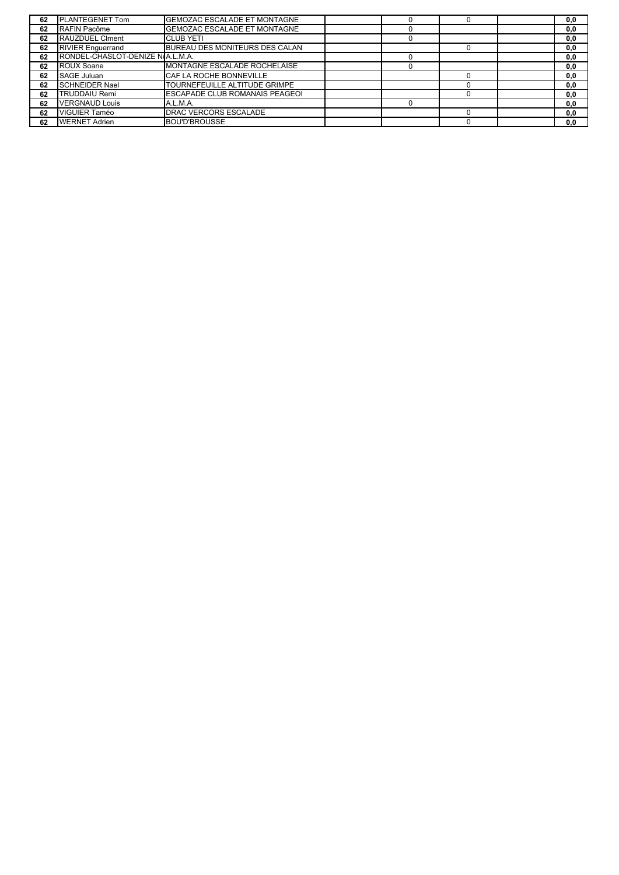| 62 | <b>PLANTEGENET Tom</b>           | <b>GEMOZAC ESCALADE ET MONTAGNE</b>   |  |  | 0,0 |
|----|----------------------------------|---------------------------------------|--|--|-----|
| 62 | RAFIN Pacôme                     | GEMOZAC ESCALADE ET MONTAGNE          |  |  | 0,0 |
| 62 | <b>RAUZDUEL CIment</b>           | <b>CLUB YETI</b>                      |  |  | 0,0 |
| 62 | <b>RIVIER Enquerrand</b>         | BUREAU DES MONITEURS DES CALAN        |  |  | 0,0 |
| 62 | RONDEL-CHASLOT-DENIZE N.A.L.M.A. |                                       |  |  | 0,0 |
| 62 | <b>ROUX Soane</b>                | MONTAGNE ESCALADE ROCHELAISE          |  |  | 0,0 |
| 62 | SAGE Juluan                      | CAF LA ROCHE BONNEVILLE               |  |  | 0,0 |
| 62 | <b>SCHNEIDER Nael</b>            | TOURNEFEUILLE ALTITUDE GRIMPE         |  |  | 0,0 |
| 62 | <b>TRUDDAIU Remi</b>             | <b>ESCAPADE CLUB ROMANAIS PEAGEOI</b> |  |  | 0,0 |
| 62 | <b>VERGNAUD Louis</b>            | A.L.M.A.                              |  |  | 0,0 |
| 62 | <b>VIGUIER Taméo</b>             | <b>DRAC VERCORS ESCALADE</b>          |  |  | 0,0 |
| 62 | <b>WERNET Adrien</b>             | <b>BOU'D'BROUSSE</b>                  |  |  | 0,0 |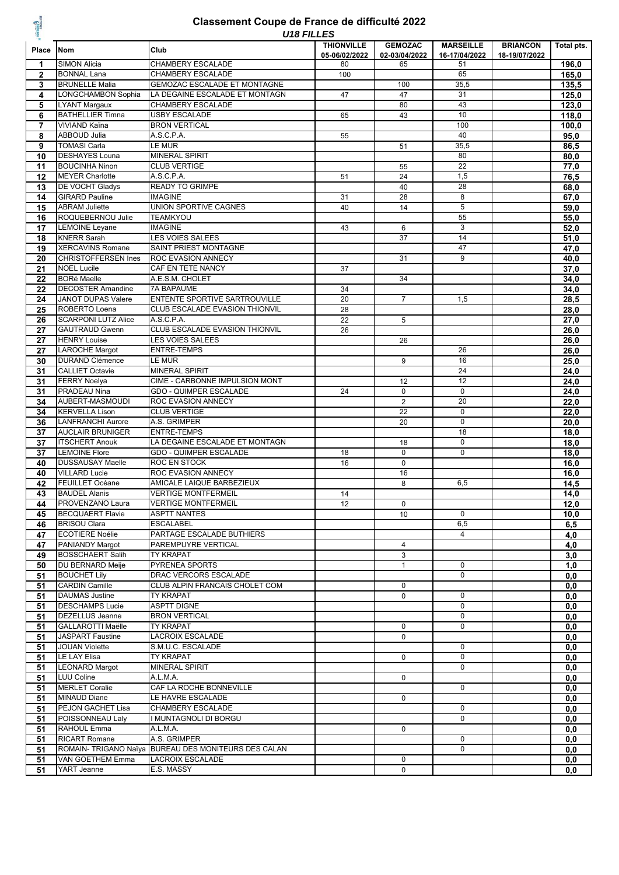# **ESCALADE**

#### *U18 FILLES* **Classement Coupe de France de difficulté 2022**

|                 |                            | U18 FILLES                                           |                   |                 |                  |                 |            |
|-----------------|----------------------------|------------------------------------------------------|-------------------|-----------------|------------------|-----------------|------------|
| Place           | <b>Nom</b>                 | Club                                                 | <b>THIONVILLE</b> | <b>GEMOZAC</b>  | <b>MARSEILLE</b> | <b>BRIANCON</b> | Total pts. |
|                 |                            |                                                      | 05-06/02/2022     | 02-03/04/2022   | 16-17/04/2022    | 18-19/07/2022   |            |
| 1               | <b>SIMON Alicia</b>        | CHAMBERY ESCALADE                                    | 80                | 65              | 51               |                 | 196,0      |
| $\mathbf{2}$    | <b>BONNAL Lana</b>         | <b>CHAMBERY ESCALADE</b>                             | 100               |                 | 65               |                 | 165,0      |
| 3               | <b>BRUNELLE Malia</b>      | <b>GEMOZAC ESCALADE ET MONTAGNE</b>                  |                   | 100             | 35,5             |                 | 135,5      |
| 4               | LONGCHAMBON Sophia         | LA DEGAINE ESCALADE ET MONTAGN                       | 47                | 47              | 31               |                 |            |
|                 |                            |                                                      |                   |                 |                  |                 | 125,0      |
| 5               | <b>LYANT Margaux</b>       | CHAMBERY ESCALADE                                    |                   | 80              | 43               |                 | 123,0      |
| 6               | <b>BATHELLIER Timna</b>    | <b>USBY ESCALADE</b>                                 | 65                | 43              | 10               |                 | 118,0      |
| $\overline{7}$  | <b>VIVIAND Kaïna</b>       | <b>BRON VERTICAL</b>                                 |                   |                 | 100              |                 | 100,0      |
| 8               | <b>ABBOUD Julia</b>        | A.S.C.P.A.                                           | 55                |                 | 40               |                 | 95,0       |
| 9               | <b>TOMASI Carla</b>        | LE MUR                                               |                   | 51              | 35,5             |                 | 86,5       |
| 10              | <b>DESHAYES Louna</b>      | <b>MINERAL SPIRIT</b>                                |                   |                 | 80               |                 | 80,0       |
|                 | <b>BOUCINHA Ninon</b>      | <b>CLUB VERTIGE</b>                                  |                   |                 | 22               |                 |            |
| 11              |                            |                                                      |                   | 55              |                  |                 | 77,0       |
| 12              | <b>MEYER Charlotte</b>     | A.S.C.P.A.                                           | 51                | 24              | 1,5              |                 | 76,5       |
| 13              | DE VOCHT Gladys            | <b>READY TO GRIMPE</b>                               |                   | 40              | 28               |                 | 68,0       |
| 14              | <b>GIRARD Pauline</b>      | <b>IMAGINE</b>                                       | 31                | 28              | 8                |                 | 67,0       |
| 15              | <b>ABRAM Juliette</b>      | UNION SPORTIVE CAGNES                                | 40                | 14              | $\overline{5}$   |                 | 59,0       |
| 16              | ROQUEBERNOU Julie          | <b>TEAMKYOU</b>                                      |                   |                 | 55               |                 | 55,0       |
| 17              | <b>LEMOINE Leyane</b>      | <b>IMAGINE</b>                                       |                   | 6               | 3                |                 |            |
|                 |                            |                                                      | 43                |                 |                  |                 | 52,0       |
| 18              | <b>KNERR Sarah</b>         | <b>LES VOIES SALEES</b>                              |                   | 37              | 14               |                 | 51,0       |
| 19              | <b>XERCAVINS Romane</b>    | SAINT PRIEST MONTAGNE                                |                   |                 | 47               |                 | 47,0       |
| 20              | <b>CHRISTOFFERSEN Ines</b> | <b>ROC EVASION ANNECY</b>                            |                   | 31              | 9                |                 | 40,0       |
| 21              | <b>NOEL Lucile</b>         | CAF EN TETE NANCY                                    | 37                |                 |                  |                 | 37,0       |
| $\overline{22}$ | <b>BORé Maelle</b>         | A.E.S.M. CHOLET                                      |                   | 34              |                  |                 | 34,0       |
| 22              | <b>DECOSTER Amandine</b>   | 7A BAPAUME                                           | 34                |                 |                  |                 | 34,0       |
|                 |                            | <b>ENTENTE SPORTIVE SARTROUVILLE</b>                 |                   |                 |                  |                 |            |
| 24              | <b>JANOT DUPAS Valere</b>  |                                                      | 20                | $\overline{7}$  | 1,5              |                 | 28,5       |
| 25              | ROBERTO Loena              | CLUB ESCALADE EVASION THIONVIL                       | 28                |                 |                  |                 | 28,0       |
| 26              | <b>SCARPONI LUTZ Alice</b> | A.S.C.P.A.                                           | 22                | 5               |                  |                 | 27,0       |
| 27              | <b>GAUTRAUD Gwenn</b>      | CLUB ESCALADE EVASION THIONVIL                       | 26                |                 |                  |                 | 26,0       |
| 27              | <b>HENRY Louise</b>        | LES VOIES SALEES                                     |                   | 26              |                  |                 | 26,0       |
| 27              | <b>LAROCHE Margot</b>      | <b>ENTRE-TEMPS</b>                                   |                   |                 | 26               |                 | 26,0       |
| 30              | <b>DURAND Clémence</b>     | LE MUR                                               |                   | 9               | 16               |                 | 25,0       |
|                 |                            |                                                      |                   |                 |                  |                 |            |
| 31              | <b>CALLIET Octavie</b>     | <b>MINERAL SPIRIT</b>                                |                   |                 | 24               |                 | 24,0       |
| 31              | <b>FERRY Noelya</b>        | CIME - CARBONNE IMPULSION MONT                       |                   | 12              | 12               |                 | 24,0       |
| 31              | <b>PRADEAU Nina</b>        | <b>GDO - QUIMPER ESCALADE</b>                        | 24                | $\mathbf 0$     | $\mathbf 0$      |                 | 24,0       |
| 34              | AUBERT-MASMOUDI            | ROC EVASION ANNECY                                   |                   | $\overline{2}$  | 20               |                 | 22,0       |
| 34              | <b>KERVELLA Lison</b>      | <b>CLUB VERTIGE</b>                                  |                   | $\overline{22}$ | $\overline{0}$   |                 | 22,0       |
| 36              | <b>LANFRANCHI Aurore</b>   | A.S. GRIMPER                                         |                   | 20              | $\mathbf 0$      |                 | 20,0       |
|                 |                            |                                                      |                   |                 | 18               |                 |            |
| 37              | <b>AUCLAIR BRUNIGER</b>    | <b>ENTRE-TEMPS</b>                                   |                   |                 |                  |                 | 18,0       |
| 37              | <b>ITSCHERT Anouk</b>      | LA DEGAINE ESCALADE ET MONTAGN                       |                   | 18              | $\overline{0}$   |                 | 18,0       |
| 37              | <b>LEMOINE Flore</b>       | GDO - QUIMPER ESCALADE                               | 18                | $\pmb{0}$       | 0                |                 | 18,0       |
| 40              | <b>DUSSAUSAY Maelle</b>    | ROC EN STOCK                                         | 16                | $\pmb{0}$       |                  |                 | 16,0       |
| 40              | <b>VILLARD Lucie</b>       | <b>ROC EVASION ANNECY</b>                            |                   | 16              |                  |                 | 16,0       |
| 42              | FEUILLET Océane            | AMICALE LAIQUE BARBEZIEUX                            |                   | 8               | 6,5              |                 | 14,5       |
|                 | <b>BAUDEL Alanis</b>       | <b>VERTIGE MONTFERMEIL</b>                           | 14                |                 |                  |                 |            |
| 43              |                            |                                                      |                   |                 |                  |                 | 14,0       |
| 44              | PROVENZANO Laura           | <b>VERTIGE MONTFERMEIL</b>                           | 12                | 0               |                  |                 | 12,0       |
| 45              | <b>BECQUAERT Flavie</b>    | <b>ASPTT NANTES</b>                                  |                   | 10              | $\mathbf 0$      |                 | 10,0       |
| 46              | <b>BRISOU Clara</b>        | <b>ESCALABEL</b>                                     |                   |                 | 6,5              |                 | 6,5        |
| 47              | <b>ECOTIERE Noélie</b>     | PARTAGE ESCALADE BUTHIERS                            |                   |                 | 4                |                 | 4,0        |
| 47              | PANIANDY Margot            | PAREMPUYRE VERTICAL                                  |                   | $\overline{4}$  |                  |                 | 4,0        |
| 49              | <b>BOSSCHAERT Salih</b>    | TY KRAPAT                                            |                   | 3               |                  |                 | 3,0        |
|                 |                            |                                                      |                   |                 |                  |                 |            |
| 50              | DU BERNARD Meije           | PYRENEA SPORTS                                       |                   | $\mathbf{1}$    | $\mathbf 0$      |                 | 1,0        |
| 51              | <b>BOUCHET Lily</b>        | DRAC VERCORS ESCALADE                                |                   |                 | $\mathbf 0$      |                 | 0,0        |
| 51              | <b>CARDIN Camille</b>      | CLUB ALPIN FRANCAIS CHOLET COM                       |                   | $\mathbf 0$     |                  |                 | 0, 0       |
| 51              | <b>DAUMAS Justine</b>      | TY KRAPAT                                            |                   | 0               | $\mathbf 0$      |                 | 0,0        |
| 51              | <b>DESCHAMPS Lucie</b>     | <b>ASPTT DIGNE</b>                                   |                   |                 | $\mathbf 0$      |                 | 0, 0       |
|                 | DEZELLUS Jeanne            | <b>BRON VERTICAL</b>                                 |                   |                 | 0                |                 |            |
| 51              |                            |                                                      |                   |                 |                  |                 | 0,0        |
| 51              | GALLAROTTI Maëlle          | TY KRAPAT                                            |                   | 0               | 0                |                 | 0,0        |
| 51              | <b>JASPART Faustine</b>    | LACROIX ESCALADE                                     |                   | $\mathbf 0$     |                  |                 | 0, 0       |
| 51              | <b>JOUAN Violette</b>      | S.M.U.C. ESCALADE                                    |                   |                 | 0                |                 | 0,0        |
| 51              | LE LAY Elisa               | TY KRAPAT                                            |                   | 0               | 0                |                 | 0,0        |
| 51              | <b>LEONARD Margot</b>      | MINERAL SPIRIT                                       |                   |                 | 0                |                 | 0, 0       |
| 51              | LUU Coline                 | A.L.M.A.                                             |                   | $\mathbf 0$     |                  |                 | 0, 0       |
|                 |                            |                                                      |                   |                 |                  |                 |            |
| 51              | <b>MERLET Coralie</b>      | CAF LA ROCHE BONNEVILLE                              |                   |                 | $\mathbf 0$      |                 | 0,0        |
| 51              | <b>MINAUD Diane</b>        | LE HAVRE ESCALADE                                    |                   | 0               |                  |                 | 0, 0       |
| 51              | PEJON GACHET Lisa          | CHAMBERY ESCALADE                                    |                   |                 | $\mathbf 0$      |                 | 0, 0       |
| 51              | POISSONNEAU Laly           | I MUNTAGNOLI DI BORGU                                |                   |                 | $\mathbf 0$      |                 | 0,0        |
| 51              | RAHOUL Emma                | A.L.M.A.                                             |                   | $\mathbf 0$     |                  |                 | 0, 0       |
| 51              | <b>RICART Romane</b>       | A.S. GRIMPER                                         |                   |                 | $\mathbf 0$      |                 | 0,0        |
|                 |                            | ROMAIN- TRIGANO Naïya BUREAU DES MONITEURS DES CALAN |                   |                 | $\mathbf 0$      |                 |            |
| 51              |                            |                                                      |                   |                 |                  |                 | 0,0        |
| 51              | <b>VAN GOETHEM Emma</b>    | <b>LACROIX ESCALADE</b>                              |                   | $\mathbf 0$     |                  |                 | 0, 0       |
| 51              | YART Jeanne                | E.S. MASSY                                           |                   | 0               |                  |                 | 0,0        |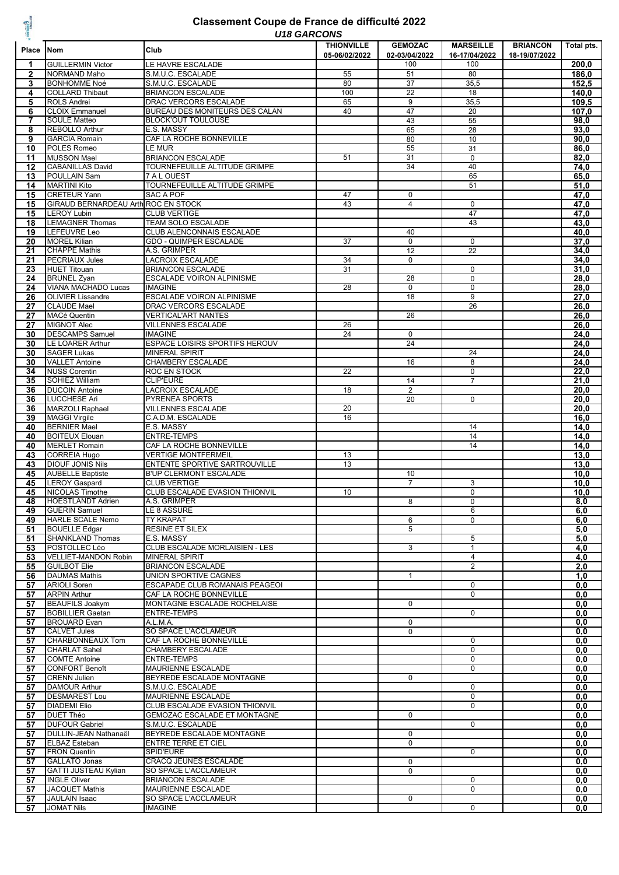## **ATTAINER**

#### *U18 GARCONS* **Classement Coupe de France de difficulté 2022**

|              |                                            | U 10 UARUUNJ                          |                   |                 |                  |                 |            |
|--------------|--------------------------------------------|---------------------------------------|-------------------|-----------------|------------------|-----------------|------------|
| Place        | <b>Nom</b>                                 | Club                                  | <b>THIONVILLE</b> | <b>GEMOZAC</b>  | <b>MARSEILLE</b> | <b>BRIANCON</b> | Total pts. |
|              |                                            |                                       | 05-06/02/2022     | 02-03/04/2022   | 16-17/04/2022    | 18-19/07/2022   |            |
| 1            | <b>GUILLERMIN Victor</b>                   | LE HAVRE ESCALADE                     |                   | 100             | 100              |                 | 200,0      |
| $\mathbf{2}$ | <b>NORMAND Maho</b>                        | S.M.U.C. ESCALADE                     | 55                | 51              | 80               |                 | 186,0      |
|              |                                            |                                       |                   |                 |                  |                 | 152,5      |
| 3            | <b>BONHOMME Noé</b>                        | S.M.U.C. ESCALADE                     | 80                | 37              | 35,5             |                 |            |
| 4            | <b>COLLARD Thibaut</b>                     | <b>BRIANCON ESCALADE</b>              | 100               | $\overline{22}$ | 18               |                 | 140,0      |
| 5            | <b>ROLS Andrei</b>                         | DRAC VERCORS ESCALADE                 | 65                | 9               | 35,5             |                 | 109.5      |
| 6            | <b>CLOIX Emmanuel</b>                      | BUREAU DES MONITEURS DES CALAN        | 40                | 47              | 20               |                 | 107.0      |
| 7            | <b>SOULE Matteo</b>                        | <b>BLOCK'OUT TOULOUSE</b>             |                   | 43              | 55               |                 | 98,0       |
| 8            | <b>REBOLLO Arthur</b>                      | E.S. MASSY                            |                   | 65              | 28               |                 | 93,0       |
|              |                                            |                                       |                   |                 |                  |                 |            |
| 9            | <b>GARCIA Romain</b>                       | CAF LA ROCHE BONNEVILLE               |                   | 80              | 10               |                 | 90,0       |
| 10           | POLES Romeo                                | LE MUR                                |                   | 55              | 31               |                 | 86,0       |
| 11           | <b>MUSSON Mael</b>                         | <b>BRIANCON ESCALADE</b>              | 51                | 31              | $\overline{0}$   |                 | 82,0       |
| 12           | <b>CABANILLAS David</b>                    | TOURNEFEUILLE ALTITUDE GRIMPE         |                   | 34              | 40               |                 | 74,0       |
| 13           | POULLAIN Sam                               | 7 A L OUEST                           |                   |                 | 65               |                 | 65,0       |
| 14           | <b>MARTINI Kito</b>                        | TOURNEFEUILLE ALTITUDE GRIMPE         |                   |                 | 51               |                 | 51,0       |
|              |                                            |                                       |                   |                 |                  |                 |            |
| 15           | <b>CRETEUR Yann</b>                        | <b>SAC A POF</b>                      | 47                | 0               |                  |                 | 47,0       |
| 15           | <b>GIRAUD BERNARDEAU Arth ROC EN STOCK</b> |                                       | 43                | $\overline{4}$  | $\mathbf 0$      |                 | 47,0       |
| 15           | <b>LEROY Lubin</b>                         | <b>CLUB VERTIGE</b>                   |                   |                 | 47               |                 | 47,0       |
| 18           | <b>LEMAGNER Thomas</b>                     | TEAM SOLO ESCALADE                    |                   |                 | 43               |                 | 43,0       |
| 19           | <b>LEFEUVRE Leo</b>                        | CLUB ALENCONNAIS ESCALADE             |                   | 40              |                  |                 | 40.0       |
| 20           | <b>MOREL Kilian</b>                        | <b>GDO - QUIMPER ESCALADE</b>         | 37                | $\mathbf 0$     | $\mathbf 0$      |                 | 37,0       |
|              |                                            |                                       |                   |                 |                  |                 |            |
| 21           | <b>CHAPPE Mathis</b>                       | A.S. GRIMPER                          |                   | 12              | 22               |                 | 34,0       |
| 21           | <b>PECRIAUX Jules</b>                      | <b>LACROIX ESCALADE</b>               | 34                | $\mathbf 0$     |                  |                 | 34,0       |
| 23           | <b>HUET Titouan</b>                        | <b>BRIANCON ESCALADE</b>              | 31                |                 | $\mathbf 0$      |                 | 31,0       |
| 24           | <b>BRUNEL Zyan</b>                         | ESCALADE VOIRON ALPINISME             |                   | 28              | $\mathbf 0$      |                 | 28,0       |
| 24           | VIANA MACHADO Lucas                        | <b>IMAGINE</b>                        | 28                | $\mathbf 0$     | $\mathbf 0$      |                 | 28,0       |
| 26           | <b>OLIVIER Lissandre</b>                   | ESCALADE VOIRON ALPINISME             |                   | 18              | 9                |                 | 27,0       |
|              | <b>CLAUDE Mael</b>                         | DRAC VERCORS ESCALADE                 |                   |                 | 26               |                 | 26,0       |
| 27           |                                            |                                       |                   |                 |                  |                 |            |
| 27           | <b>MACé Quentin</b>                        | <b>VERTICAL'ART NANTES</b>            |                   | 26              |                  |                 | 26,0       |
| 27           | <b>MIGNOT Alec</b>                         | <b>VILLENNES ESCALADE</b>             | 26                |                 |                  |                 | 26,0       |
| 30           | <b>DESCAMPS Samuel</b>                     | <b>IMAGINE</b>                        | 24                | $\mathbf 0$     |                  |                 | 24,0       |
| 30           | <b>LE LOARER Arthur</b>                    | <b>ESPACE LOISIRS SPORTIFS HEROUV</b> |                   | 24              |                  |                 | 24.0       |
| 30           | <b>SAGER Lukas</b>                         | MINERAL SPIRIT                        |                   |                 | 24               |                 | 24,0       |
|              |                                            | <b>CHAMBERY ESCALADE</b>              |                   | 16              | 8                |                 | 24,0       |
| 30           | <b>VALLET Antoine</b>                      |                                       |                   |                 |                  |                 |            |
| 34           | <b>NUSS Corentin</b>                       | ROC EN STOCK                          | 22                |                 | 0                |                 | 22,0       |
| 35           | SOHIEZ William                             | <b>CLIP'EURE</b>                      |                   | 14              | $\overline{7}$   |                 | 21,0       |
| 36           | <b>DUCOIN Antoine</b>                      | <b>LACROIX ESCALADE</b>               | 18                | 2               |                  |                 | 20,0       |
| 36           | <b>LUCCHESE Ari</b>                        | PYRENEA SPORTS                        |                   | 20              | $\mathbf 0$      |                 | 20,0       |
| 36           | <b>MARZOLI Raphael</b>                     | <b>VILLENNES ESCALADE</b>             | 20                |                 |                  |                 | 20,0       |
|              |                                            |                                       |                   |                 |                  |                 |            |
| 39           | <b>MAGGI Virgile</b>                       | C.A.D.M. ESCALADE                     | 16                |                 |                  |                 | 16,0       |
| 40           | <b>BERNIER Mael</b>                        | E.S. MASSY                            |                   |                 | 14               |                 | 14,0       |
| 40           | <b>BOITEUX Elouan</b>                      | <b>ENTRE-TEMPS</b>                    |                   |                 | 14               |                 | 14,0       |
| 40           | <b>MERLET Romain</b>                       | CAF LA ROCHE BONNEVILLE               |                   |                 | 14               |                 | 14,0       |
| 43           | <b>CORREIA Hugo</b>                        | <b>VERTIGE MONTFERMEIL</b>            | 13                |                 |                  |                 | 13,0       |
| 43           | <b>DIOUF JONIS Nils</b>                    | ENTENTE SPORTIVE SARTROUVILLE         | 13                |                 |                  |                 | 13,0       |
|              | <b>AUBELLE Baptiste</b>                    | <b>B'UP CLERMONT ESCALADE</b>         |                   | 10              |                  |                 |            |
| 45           |                                            |                                       |                   |                 |                  |                 | 10,0       |
| 45           | <b>LEROY Gaspard</b>                       | <b>CLUB VERTIGE</b>                   |                   | $\overline{7}$  | 3                |                 | 10,0       |
| 45           | <b>NICOLAS Timothe</b>                     | CLUB ESCALADE EVASION THIONVIL        | 10                |                 | $\mathbf 0$      |                 | 10,0       |
|              | 48 HOESTLANDT Adrien                       | A.S. GRIMPER                          |                   | 8               | $\overline{0}$   |                 | 8,0        |
| 49           | <b>GUERIN Samuel</b>                       | LE 8 ASSURE                           |                   |                 | 6                |                 | 6,0        |
| 49           | <b>HARLE SCALE Nemo</b>                    | <b>TY KRAPAT</b>                      |                   | 6               | $\mathbf 0$      |                 | 6,0        |
| 51           | <b>BOUELLE Edgar</b>                       | <b>RESINE ET SILEX</b>                |                   | 5               |                  |                 | 5,0        |
|              |                                            |                                       |                   |                 |                  |                 |            |
| 51           | <b>SHANKLAND Thomas</b>                    | E.S. MASSY                            |                   |                 | 5                |                 | 5,0        |
| 53           | POSTOLLEC Léo                              | CLUB ESCALADE MORLAISIEN - LES        |                   | 3               | $\mathbf{1}$     |                 | 4,0        |
| 53           | <b>VELLIET-MANDON Robin</b>                | <b>MINERAL SPIRIT</b>                 |                   |                 | 4                |                 | 4,0        |
| 55           | <b>GUILBOT Elie</b>                        | <b>BRIANCON ESCALADE</b>              |                   |                 | $\overline{2}$   |                 | 2,0        |
| 56           | <b>DAUMAS Mathis</b>                       | UNION SPORTIVE CAGNES                 |                   | $\mathbf{1}$    |                  |                 | 1.0        |
| 57           | <b>ARIOLI Soren</b>                        | ESCAPADE CLUB ROMANAIS PEAGEOI        |                   |                 | 0                |                 | 0, 0       |
| 57           | <b>ARPIN Arthur</b>                        | CAF LA ROCHE BONNEVILLE               |                   |                 | 0                |                 | 0.0        |
|              |                                            |                                       |                   |                 |                  |                 |            |
| 57           | <b>BEAUFILS Joakym</b>                     | MONTAGNE ESCALADE ROCHELAISE          |                   | 0               |                  |                 | 0,0        |
| 57           | <b>BOBILLIER Gaetan</b>                    | <b>ENTRE-TEMPS</b>                    |                   |                 | 0                |                 | 0,0        |
| 57           | <b>BROUARD</b> Evan                        | A.L.M.A.                              |                   | 0               |                  |                 | 0, 0       |
| 57           | <b>CALVET Jules</b>                        | SO SPACE L'ACCLAMEUR                  |                   | $\mathbf 0$     |                  |                 | 0, 0       |
| 57           | CHARBONNEAUX Tom                           | CAF LA ROCHE BONNEVILLE               |                   |                 | 0                |                 | 0, 0       |
| 57           | <b>CHARLAT Sahel</b>                       | CHAMBERY ESCALADE                     |                   |                 | 0                |                 | 0,0        |
|              | <b>COMTE Antoine</b>                       | ENTRE-TEMPS                           |                   |                 | 0                |                 |            |
| 57           |                                            |                                       |                   |                 |                  |                 | 0,0        |
| 57           | <b>CONFORT Benoît</b>                      | MAURIENNE ESCALADE                    |                   |                 | 0                |                 | 0,0        |
| 57           | <b>CRENN Julien</b>                        | BEYREDE ESCALADE MONTAGNE             |                   | 0               |                  |                 | 0,0        |
| 57           | <b>DAMOUR Arthur</b>                       | S.M.U.C. ESCALADE                     |                   |                 | 0                |                 | 0,0        |
| 57           | <b>DESMAREST Lou</b>                       | MAURIENNE ESCALADE                    |                   |                 | 0                |                 | 0,0        |
| 57           | <b>DIADEMI Elio</b>                        | CLUB ESCALADE EVASION THIONVIL        |                   |                 | 0                |                 | 0.0        |
| 57           | <b>DUET Théo</b>                           | GEMOZAC ESCALADE ET MONTAGNE          |                   | $\mathbf 0$     |                  |                 | 0, 0       |
|              |                                            |                                       |                   |                 |                  |                 |            |
| 57           | <b>DUFOUR Gabriel</b>                      | S.M.U.C. ESCALADE                     |                   |                 | 0                |                 | 0, 0       |
| 57           | DULLIN-JEAN Nathanaël                      | BEYREDE ESCALADE MONTAGNE             |                   | 0               |                  |                 | 0, 0       |
| 57           | <b>ELBAZ Esteban</b>                       | <b>ENTRE TERRE ET CIEL</b>            |                   | $\mathbf 0$     |                  |                 | 0, 0       |
| 57           | <b>FRON Quentin</b>                        | SPID'EURE                             |                   |                 | 0                |                 | 0, 0       |
| 57           | GALLATO Jonas                              | <b>CRACQ JEUNES ESCALADE</b>          |                   | $\mathbf 0$     |                  |                 | 0,0        |
| 57           | <b>GATTI JUSTEAU Kylian</b>                | SO SPACE L'ACCLAMEUR                  |                   | $\mathbf 0$     |                  |                 | 0, 0       |
|              | <b>INGLE Oliver</b>                        | <b>BRIANCON ESCALADE</b>              |                   |                 | $\mathbf 0$      |                 |            |
| 57           |                                            |                                       |                   |                 |                  |                 | 0.0        |
| 57           | <b>JACQUET Mathis</b>                      | MAURIENNE ESCALADE                    |                   |                 | 0                |                 | 0,0        |
| 57           | <b>JAULAIN Isaac</b>                       | SO SPACE L'ACCLAMEUR                  |                   | 0               |                  |                 | 0,0        |
| 57           | <b>JOMAT Nils</b>                          | <b>IMAGINE</b>                        |                   |                 | 0                |                 | 0,0        |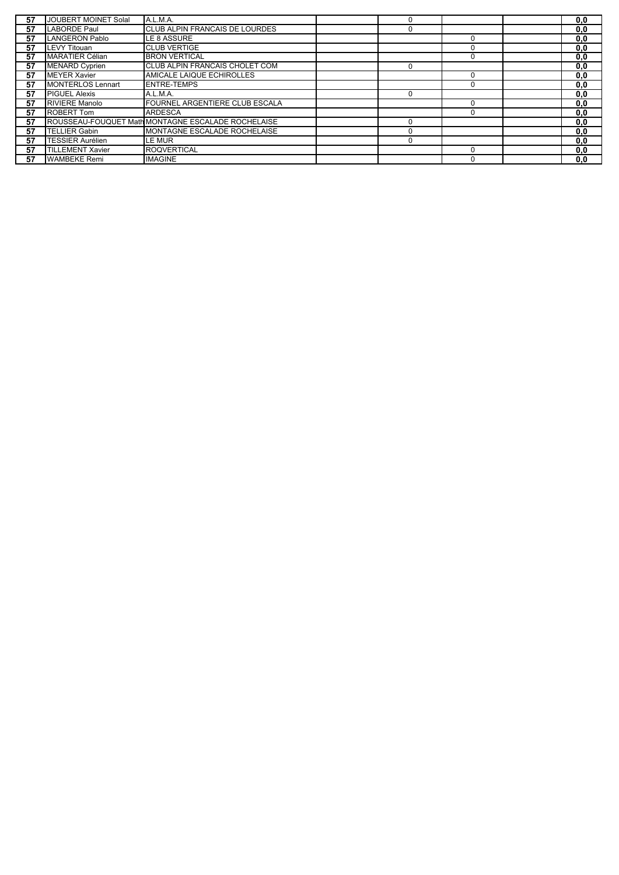| 57 | JOUBERT MOINET Solal     | A.L.M.A.                                                 | 0           |   | 0, 0 |
|----|--------------------------|----------------------------------------------------------|-------------|---|------|
| 57 | LABORDE Paul             | CLUB ALPIN FRANCAIS DE LOURDES                           | 0           |   | 0, 0 |
| 57 | LANGERON Pablo           | LE 8 ASSURE                                              |             |   | 0,0  |
| 57 | LEVY Titouan             | <b>CLUB VERTIGE</b>                                      |             |   | 0,0  |
| 57 | <b>MARATIER Célian</b>   | <b>BRON VERTICAL</b>                                     |             |   | 0, 0 |
| 57 | <b>MENARD Cyprien</b>    | CLUB ALPIN FRANCAIS CHOLET COM                           | $\Omega$    |   | 0,0  |
| 57 | <b>MEYER Xavier</b>      | AMICALE LAIQUE ECHIROLLES                                |             |   | 0.0  |
| 57 | <b>MONTERLOS Lennart</b> | <b>ENTRE-TEMPS</b>                                       |             |   | 0, 0 |
| 57 | <b>PIGUEL Alexis</b>     | A.L.M.A.                                                 | $\Omega$    |   | 0,0  |
| 57 | <b>RIVIERE Manolo</b>    | FOURNEL ARGENTIERE CLUB ESCALA                           |             | 0 | 0,0  |
| 57 | <b>ROBERT Tom</b>        | <b>ARDESCA</b>                                           |             | 0 | 0,0  |
| 57 |                          | <b>ROUSSEAU-FOUQUET MathMONTAGNE ESCALADE ROCHELAISE</b> | $\Omega$    |   | 0,0  |
| 57 | TELLIER Gabin            | MONTAGNE ESCALADE ROCHELAISE                             | $\Omega$    |   | 0,0  |
| 57 | <b>TESSIER Aurélien</b>  | LE MUR                                                   | $\mathbf 0$ |   | 0.0  |
| 57 | <b>TILLEMENT Xavier</b>  | <b>ROQVERTICAL</b>                                       |             |   | 0, 0 |
| 57 | <b>WAMBEKE Remi</b>      | <b>IMAGINE</b>                                           |             |   | 0, 0 |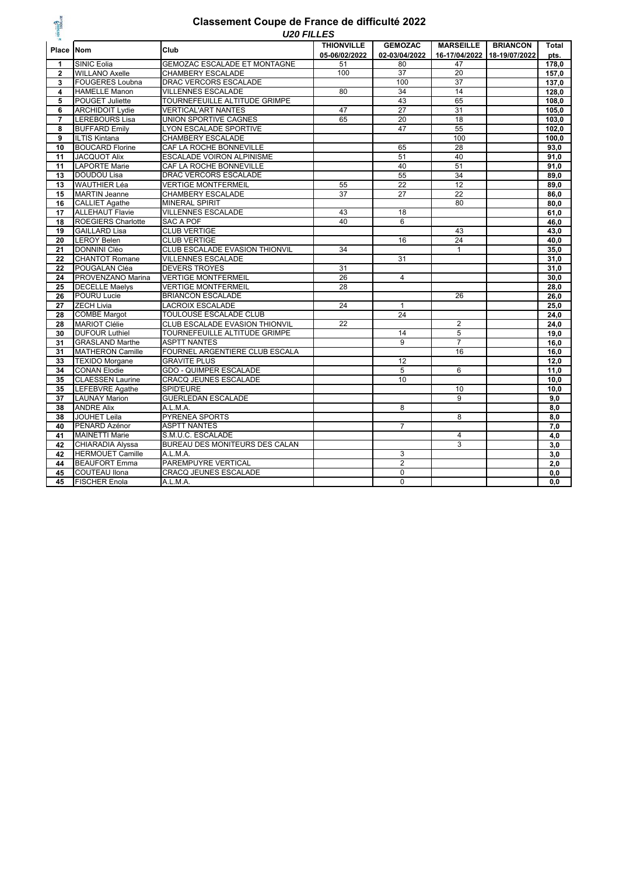

#### *U20 FILLES* **Classement Coupe de France de difficulté 2022**

| 목              | UZU FILLES                |                                       |                                    |                                 |                                   |                                  |                      |  |  |
|----------------|---------------------------|---------------------------------------|------------------------------------|---------------------------------|-----------------------------------|----------------------------------|----------------------|--|--|
| Place          | <b>INom</b>               | Club                                  | <b>THIONVILLE</b><br>05-06/02/2022 | <b>GEMOZAC</b><br>02-03/04/2022 | <b>MARSEILLE</b><br>16-17/04/2022 | <b>BRIANCON</b><br>18-19/07/2022 | <b>Total</b><br>pts. |  |  |
| 1              | <b>SINIC Eolia</b>        | <b>GEMOZAC ESCALADE ET MONTAGNE</b>   | 51                                 | 80                              | 47                                |                                  | 178,0                |  |  |
| $\mathbf{2}$   | <b>WILLANO Axelle</b>     | CHAMBERY ESCALADE                     | 100                                | 37                              | 20                                |                                  | 157,0                |  |  |
| 3              | <b>FOUGERES Loubna</b>    | DRAC VERCORS ESCALADE                 |                                    | 100                             | 37                                |                                  | 137,0                |  |  |
| 4              | <b>HAMELLE Manon</b>      | <b>VILLENNES ESCALADE</b>             | 80                                 | 34                              | 14                                |                                  | 128.0                |  |  |
| 5              | POUGET Juliette           | TOURNEFEUILLE ALTITUDE GRIMPE         |                                    | 43                              | 65                                |                                  | 108,0                |  |  |
| 6              | <b>ARCHIDOIT Lydie</b>    | <b>VERTICAL'ART NANTES</b>            | 47                                 | $\overline{27}$                 | 31                                |                                  | 105,0                |  |  |
| $\overline{7}$ | <b>LEREBOURS Lisa</b>     | UNION SPORTIVE CAGNES                 | 65                                 | 20                              | 18                                |                                  | 103,0                |  |  |
| 8              | <b>BUFFARD Emily</b>      | <b>LYON ESCALADE SPORTIVE</b>         |                                    | 47                              | 55                                |                                  | 102,0                |  |  |
| 9              | <b>ILTIS Kintana</b>      | <b>CHAMBERY ESCALADE</b>              |                                    |                                 | 100                               |                                  | 100,0                |  |  |
| 10             | <b>BOUCARD Florine</b>    | CAF LA ROCHE BONNEVILLE               |                                    | 65                              | 28                                |                                  | 93,0                 |  |  |
| 11             | <b>JACQUOT Alix</b>       | ESCALADE VOIRON ALPINISME             |                                    | 51                              | 40                                |                                  | 91.0                 |  |  |
| 11             | <b>LAPORTE Marie</b>      | CAF LA ROCHE BONNEVILLE               |                                    | 40                              | 51                                |                                  | 91,0                 |  |  |
| 13             | DOUDOU Lisa               | DRAC VERCORS ESCALADE                 |                                    | 55                              | 34                                |                                  | 89,0                 |  |  |
| 13             | <b>WAUTHIER Léa</b>       | <b>VERTIGE MONTFERMEIL</b>            | 55                                 | $\overline{22}$                 | 12                                |                                  | 89,0                 |  |  |
| 15             | <b>MARTIN Jeanne</b>      | <b>CHAMBERY ESCALADE</b>              | $\overline{37}$                    | $\overline{27}$                 | $\overline{22}$                   |                                  | 86,0                 |  |  |
| 16             | <b>CALLIET Agathe</b>     | <b>MINERAL SPIRIT</b>                 |                                    |                                 | 80                                |                                  | 80,0                 |  |  |
| 17             | <b>ALLEHAUT Flavie</b>    | <b>VILLENNES ESCALADE</b>             | 43                                 | 18                              |                                   |                                  | 61.0                 |  |  |
| 18             | <b>ROEGIERS Charlotte</b> | <b>SAC A POF</b>                      | 40                                 | 6                               |                                   |                                  | 46,0                 |  |  |
| 19             | <b>GAILLARD Lisa</b>      | <b>CLUB VERTIGE</b>                   |                                    |                                 | 43                                |                                  | 43,0                 |  |  |
| 20             | <b>LEROY Belen</b>        | <b>CLUB VERTIGE</b>                   |                                    | 16                              | 24                                |                                  | 40,0                 |  |  |
| 21             | DONNINI Cléo              | <b>CLUB ESCALADE EVASION THIONVIL</b> | 34                                 |                                 | $\mathbf{1}$                      |                                  | 35,0                 |  |  |
| 22             | <b>CHANTOT Romane</b>     | <b>VILLENNES ESCALADE</b>             |                                    | 31                              |                                   |                                  | 31,0                 |  |  |
| 22             | POUGALAN Cléa             | <b>DEVERS TROYES</b>                  | 31                                 |                                 |                                   |                                  | 31.0                 |  |  |
| 24             | PROVENZANO Marina         | <b>VERTIGE MONTFERMEIL</b>            | 26                                 | $\overline{4}$                  |                                   |                                  | 30,0                 |  |  |
| 25             | <b>DECELLE Maelys</b>     | <b>VERTIGE MONTFERMEIL</b>            | 28                                 |                                 |                                   |                                  | 28,0                 |  |  |
| 26             | <b>POURU Lucie</b>        | <b>BRIANCON ESCALADE</b>              |                                    |                                 | 26                                |                                  | 26,0                 |  |  |
| 27             | <b>ZECH Livia</b>         | <b>LACROIX ESCALADE</b>               | 24                                 | $\mathbf{1}$                    |                                   |                                  | 25.0                 |  |  |
| 28             | <b>COMBE Margot</b>       | <b>TOULOUSE ESCALADE CLUB</b>         |                                    | 24                              |                                   |                                  | 24,0                 |  |  |
| 28             | <b>MARIOT Clélie</b>      | CLUB ESCALADE EVASION THIONVIL        | 22                                 |                                 | $\overline{2}$                    |                                  | 24,0                 |  |  |
| 30             | <b>DUFOUR Luthiel</b>     | TOURNEFEUILLE ALTITUDE GRIMPE         |                                    | 14                              | 5                                 |                                  | 19,0                 |  |  |
| 31             | <b>GRASLAND Marthe</b>    | <b>ASPTT NANTES</b>                   |                                    | $\overline{9}$                  | $\overline{7}$                    |                                  | 16,0                 |  |  |
| 31             | <b>MATHERON Camille</b>   | FOURNEL ARGENTIERE CLUB ESCALA        |                                    |                                 | 16                                |                                  | 16,0                 |  |  |
| 33             | <b>TEXIDO Morgane</b>     | <b>GRAVITE PLUS</b>                   |                                    | 12                              |                                   |                                  | 12,0                 |  |  |
| 34             | <b>CONAN Elodie</b>       | <b>GDO - QUIMPER ESCALADE</b>         |                                    | 5                               | 6                                 |                                  | 11,0                 |  |  |
| 35             | <b>CLAESSEN Laurine</b>   | <b>CRACQ JEUNES ESCALADE</b>          |                                    | 10                              |                                   |                                  | 10,0                 |  |  |
| 35             | <b>LEFEBVRE Agathe</b>    | SPID'EURE                             |                                    |                                 | 10                                |                                  | 10,0                 |  |  |
| 37             | <b>LAUNAY Marion</b>      | <b>GUERLEDAN ESCALADE</b>             |                                    |                                 | $\overline{9}$                    |                                  | 9.0                  |  |  |
| 38             | <b>ANDRE Alix</b>         | A.L.M.A.                              |                                    | 8                               |                                   |                                  | 8,0                  |  |  |
| 38             | <b>JOUHET Leila</b>       | PYRENEA SPORTS                        |                                    |                                 | 8                                 |                                  | 8,0                  |  |  |
| 40             | PENARD Azénor             | <b>ASPTT NANTES</b>                   |                                    | $\overline{7}$                  |                                   |                                  | 7,0                  |  |  |
| 41             | <b>MAINETTI Marie</b>     | S.M.U.C. ESCALADE                     |                                    |                                 | $\overline{4}$                    |                                  | 4,0                  |  |  |
| 42             | CHIARADIA Alyssa          | BUREAU DES MONITEURS DES CALAN        |                                    |                                 | 3                                 |                                  | 3,0                  |  |  |
| 42             | <b>HERMOUET Camille</b>   | A.L.M.A.                              |                                    | 3                               |                                   |                                  | 3,0                  |  |  |
| 44             | <b>BEAUFORT Emma</b>      | PAREMPUYRE VERTICAL                   |                                    | $\overline{2}$                  |                                   |                                  | 2,0                  |  |  |
| 45             | COUTEAU Ilona             | CRACQ JEUNES ESCALADE                 |                                    | $\mathbf 0$                     |                                   |                                  | 0, 0                 |  |  |
| 45             | <b>FISCHER Enola</b>      | A.L.M.A.                              |                                    | $\overline{0}$                  |                                   |                                  | 0,0                  |  |  |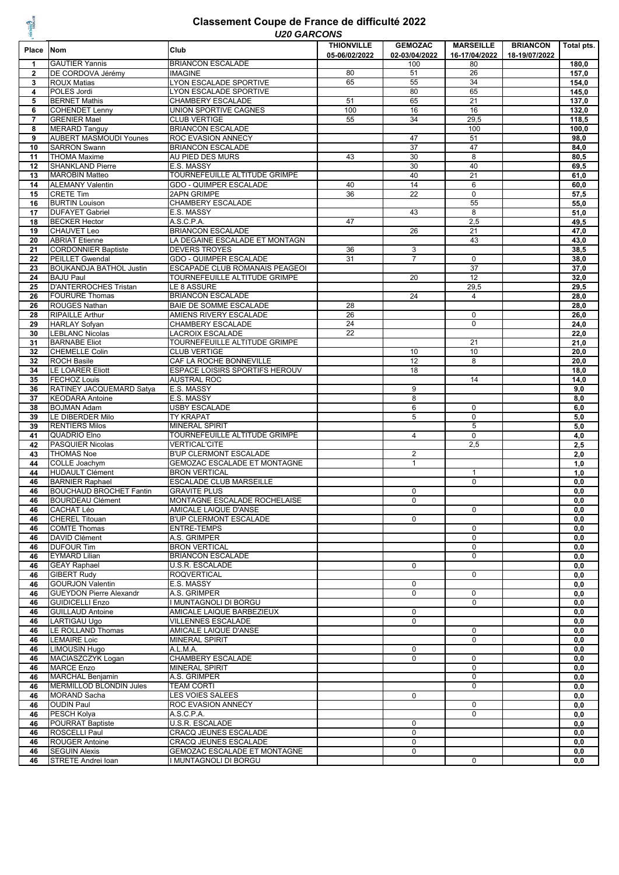#### *U20 GARCONS* **Classement Coupe de France de difficulté 2022**

|                |                                | UZU UANUUNJ                           |                                    |                                 |                                   |                 | Total pts.        |
|----------------|--------------------------------|---------------------------------------|------------------------------------|---------------------------------|-----------------------------------|-----------------|-------------------|
| Place          | <b>Nom</b>                     | Club                                  | <b>THIONVILLE</b><br>05-06/02/2022 | <b>GEMOZAC</b><br>02-03/04/2022 | <b>MARSEILLE</b><br>16-17/04/2022 | <b>BRIANCON</b> |                   |
| $\mathbf{1}$   | <b>GAUTIER Yannis</b>          | <b>BRIANCON ESCALADE</b>              |                                    | 100                             | 80                                | 18-19/07/2022   | 180,0             |
| $\overline{2}$ |                                |                                       |                                    | 51                              | 26                                |                 | 157,0             |
|                | DE CORDOVA Jérémy              | <b>IMAGINE</b>                        | 80                                 |                                 | 34                                |                 |                   |
| 3              | <b>ROUX Matias</b>             | LYON ESCALADE SPORTIVE                | 65                                 | 55                              |                                   |                 | 154,0             |
| 4              | POLES Jordi                    | LYON ESCALADE SPORTIVE                |                                    | 80                              | 65                                |                 | 145,0             |
| 5              | <b>BERNET Mathis</b>           | <b>CHAMBERY ESCALADE</b>              | 51                                 | 65                              | 21                                |                 | 137,0             |
| 6              | <b>COHENDET Lenny</b>          | UNION SPORTIVE CAGNES                 | 100                                | 16                              | 16                                |                 | 132,0             |
| $\overline{7}$ | <b>GRENIER Mael</b>            | <b>CLUB VERTIGE</b>                   | 55                                 | 34                              | 29,5                              |                 | 118,5             |
| 8              | <b>MERARD Tanguy</b>           | <b>BRIANCON ESCALADE</b>              |                                    |                                 | 100                               |                 | 100,0             |
| 9              | <b>AUBERT MASMOUDI Younes</b>  | <b>ROC EVASION ANNECY</b>             |                                    | 47                              | 51                                |                 | 98,0              |
| 10             | <b>SARRON Swann</b>            | <b>BRIANCON ESCALADE</b>              |                                    | 37                              | 47                                |                 | 84,0              |
| 11             | <b>THOMA Maxime</b>            | AU PIED DES MURS                      | 43                                 | 30                              | 8                                 |                 | 80,5              |
| 12             | <b>SHANKLAND Pierre</b>        | E.S. MASSY                            |                                    | 30                              | 40                                |                 | 69,5              |
| 13             | <b>MAROBIN Matteo</b>          | TOURNEFEUILLE ALTITUDE GRIMPE         |                                    | 40                              | 21                                |                 | 61,0              |
| 14             | <b>ALEMANY Valentin</b>        | <b>GDO - QUIMPER ESCALADE</b>         | 40                                 | 14                              | 6                                 |                 | 60,0              |
| 15             | <b>CRETE Tim</b>               | 2APN GRIMPE                           | 36                                 | 22                              | $\overline{0}$                    |                 | $\overline{57,5}$ |
| 16             | <b>BURTIN Louison</b>          | CHAMBERY ESCALADE                     |                                    |                                 | 55                                |                 | 55,0              |
| 17             | <b>DUFAYET Gabriel</b>         | E.S. MASSY                            |                                    | 43                              | 8                                 |                 | 51,0              |
| 18             | <b>BECKER Hector</b>           | A.S.C.P.A.                            | 47                                 |                                 | 2,5                               |                 | 49,5              |
| 19             | <b>CHAUVET Leo</b>             | <b>BRIANCON ESCALADE</b>              |                                    | 26                              | 21                                |                 | 47,0              |
| 20             | <b>ABRIAT Etienne</b>          | LA DEGAINE ESCALADE ET MONTAGN        |                                    |                                 | 43                                |                 | 43,0              |
| 21             | <b>CORDONNIER Baptiste</b>     | <b>DEVERS TROYES</b>                  | 36                                 | 3                               |                                   |                 | 38,5              |
| 22             | <b>PEILLET Gwendal</b>         | <b>GDO - QUIMPER ESCALADE</b>         | 31                                 | $\overline{7}$                  | $\mathbf 0$                       |                 | 38,0              |
| 23             | <b>BOUKANDJA BATHOL Justin</b> | ESCAPADE CLUB ROMANAIS PEAGEOI        |                                    |                                 | 37                                |                 | 37,0              |
| 24             | <b>BAJU Paul</b>               | TOURNEFEUILLE ALTITUDE GRIMPE         |                                    | 20                              | 12                                |                 | 32,0              |
| 25             | <b>D'ANTERROCHES Tristan</b>   | LE 8 ASSURE                           |                                    |                                 | 29,5                              |                 | 29,5              |
| 26             | <b>FOURURE Thomas</b>          | <b>BRIANCON ESCALADE</b>              |                                    | 24                              | $\overline{4}$                    |                 | 28,0              |
| 26             | <b>ROUGES Nathan</b>           | BAIE DE SOMME ESCALADE                | 28                                 |                                 |                                   |                 | 28,0              |
| 28             | <b>RIPAILLE Arthur</b>         | AMIENS RIVERY ESCALADE                | 26                                 |                                 | $\mathbf 0$                       |                 | 26,0              |
|                | <b>HARLAY Sofyan</b>           | CHAMBERY ESCALADE                     | 24                                 |                                 | $\mathbf 0$                       |                 |                   |
| 29             |                                |                                       |                                    |                                 |                                   |                 | 24,0              |
| 30             | <b>LEBLANC Nicolas</b>         | <b>LACROIX ESCALADE</b>               | 22                                 |                                 |                                   |                 | 22,0              |
| 31             | <b>BARNABE Eliot</b>           | TOURNEFEUILLE ALTITUDE GRIMPE         |                                    |                                 | 21                                |                 | 21,0              |
| 32             | <b>CHEMELLE Colin</b>          | <b>CLUB VERTIGE</b>                   |                                    | 10                              | 10                                |                 | 20,0              |
| 32             | <b>ROCH Basile</b>             | CAF LA ROCHE BONNEVILLE               |                                    | 12                              | 8                                 |                 | 20,0              |
| 34             | <b>LE LOARER Eliott</b>        | <b>ESPACE LOISIRS SPORTIFS HEROUV</b> |                                    | 18                              |                                   |                 | 18,0              |
| 35             | <b>FECHOZ Louis</b>            | <b>AUSTRAL ROC</b>                    |                                    |                                 | 14                                |                 | 14,0              |
| 36             | RATINEY JACQUEMARD Satya       | E.S. MASSY                            |                                    | 9                               |                                   |                 | 9,0               |
| 37             | <b>KEODARA Antoine</b>         | E.S. MASSY                            |                                    | 8                               |                                   |                 | 8,0               |
| 38             | <b>BOJMAN Adam</b>             | <b>USBY ESCALADE</b>                  |                                    | 6                               | $\mathbf 0$                       |                 | 6,0               |
| 39             | LE DIBERDER Milo               | <b>TY KRAPAT</b>                      |                                    | 5                               | $\mathsf 0$                       |                 | 5,0               |
| 39             | <b>RENTIERS Milos</b>          | <b>MINERAL SPIRIT</b>                 |                                    |                                 | 5                                 |                 | 5,0               |
| 41             | QUADRIO Elno                   | TOURNEFEUILLE ALTITUDE GRIMPE         |                                    | $\overline{4}$                  | $\pmb{0}$                         |                 | 4,0               |
| 42             | PASQUIER Nicolas               | <b>VERTICAL'CITE</b>                  |                                    |                                 | 2,5                               |                 | 2,5               |
| 43             | <b>THOMAS Noe</b>              | <b>B'UP CLERMONT ESCALADE</b>         |                                    | $\overline{2}$                  |                                   |                 | 2,0               |
| 44             | COLLE Joachym                  | GEMOZAC ESCALADE ET MONTAGNE          |                                    | $\mathbf{1}$                    |                                   |                 | 1,0               |
| 44             | <b>HUDAULT Clément</b>         | <b>BRON VERTICAL</b>                  |                                    |                                 | $\mathbf{1}$                      |                 | 1,0               |
| 46             | <b>BARNIER Raphael</b>         | <b>ESCALADE CLUB MARSEILLE</b>        |                                    |                                 | $\overline{0}$                    |                 | 0,0               |
| 46             | <b>BOUCHAUD BROCHET Fantin</b> | <b>GRAVITE PLUS</b>                   |                                    | 0                               |                                   |                 | 0,0               |
| 46             | <b>BOURDEAU Clément</b>        | MONTAGNE ESCALADE ROCHELAISE          |                                    | $\Omega$                        |                                   |                 | 0, 0              |
| 46             | <b>CACHAT Léo</b>              | AMICALE LAIQUE D'ANSE                 |                                    |                                 | 0                                 |                 | 0,0               |
| 46             | <b>CHEREL Titouan</b>          | <b>B'UP CLERMONT ESCALADE</b>         |                                    | 0                               |                                   |                 | 0, 0              |
| 46             | <b>COMTE Thomas</b>            | <b>ENTRE-TEMPS</b>                    |                                    |                                 | 0                                 |                 | 0,0               |
| 46             | <b>DAVID Clément</b>           | A.S. GRIMPER                          |                                    |                                 | 0                                 |                 | 0,0               |
| 46             | <b>DUFOUR Tim</b>              | <b>BRON VERTICAL</b>                  |                                    |                                 | 0                                 |                 | 0,0               |
| 46             | <b>EYMARD Lilian</b>           | <b>BRIANCON ESCALADE</b>              |                                    |                                 | 0                                 |                 | 0,0               |
| 46             | <b>GEAY Raphael</b>            | U.S.R. ESCALADE                       |                                    | $\mathbf 0$                     |                                   |                 | 0,0               |
| 46             | <b>GIBERT Rudy</b>             | <b>ROQVERTICAL</b>                    |                                    |                                 | 0                                 |                 | 0,0               |
|                | <b>GOURJON Valentin</b>        | E.S. MASSY                            |                                    | $\mathbf 0$                     |                                   |                 |                   |
| 46<br>46       | <b>GUEYDON Pierre Alexandr</b> | A.S. GRIMPER                          |                                    | 0                               | 0                                 |                 | 0,0<br>0,0        |
|                |                                | I MUNTAGNOLI DI BORGU                 |                                    |                                 |                                   |                 |                   |
| 46             | <b>GUIDICELLI Enzo</b>         |                                       |                                    |                                 | 0                                 |                 | 0,0               |
| 46             | <b>GUILLAUD Antoine</b>        | AMICALE LAIQUE BARBEZIEUX             |                                    | 0                               |                                   |                 | 0,0               |
| 46             | LARTIGAU Ugo                   | <b>VILLENNES ESCALADE</b>             |                                    | 0                               |                                   |                 | 0,0               |
| 46             | LE ROLLAND Thomas              | <b>AMICALE LAIQUE D'ANSE</b>          |                                    |                                 | 0                                 |                 | 0,0               |
| 46             | <b>LEMAIRE Loic</b>            | <b>MINERAL SPIRIT</b>                 |                                    |                                 | 0                                 |                 | 0,0               |
| 46             | <b>LIMOUSIN Hugo</b>           | A.L.M.A.                              |                                    | 0                               |                                   |                 | 0,0               |
| 46             | MACIASZCZYK Logan              | <b>CHAMBERY ESCALADE</b>              |                                    | $\mathbf 0$                     | 0                                 |                 | 0,0               |
| 46             | <b>MARCE Enzo</b>              | <b>MINERAL SPIRIT</b>                 |                                    |                                 | 0                                 |                 | $\overline{0,0}$  |
| 46             | <b>MARCHAL Benjamin</b>        | A.S. GRIMPER                          |                                    |                                 | 0                                 |                 | 0,0               |
| 46             | <b>MERMILLOD BLONDIN Jules</b> | <b>TEAM CORTI</b>                     |                                    |                                 | 0                                 |                 | 0,0               |
| 46             | <b>MORAND Sacha</b>            | LES VOIES SALEES                      |                                    | $\mathbf 0$                     |                                   |                 | 0,0               |
| 46             | <b>OUDIN Paul</b>              | ROC EVASION ANNECY                    |                                    |                                 | 0                                 |                 | 0,0               |
| 46             | PESCH Kolya                    | A.S.C.P.A.                            |                                    |                                 | 0                                 |                 | 0,0               |
| 46             | <b>POURRAT Baptiste</b>        | U.S.R. ESCALADE                       |                                    | 0                               |                                   |                 | 0,0               |
| 46             | ROSCELLI Paul                  | <b>CRACQ JEUNES ESCALADE</b>          |                                    | 0                               |                                   |                 | 0,0               |
| 46             | <b>ROUGER Antoine</b>          | CRACQ JEUNES ESCALADE                 |                                    | 0                               |                                   |                 | 0,0               |
| 46             | <b>SEGUIN Alexis</b>           | GEMOZAC ESCALADE ET MONTAGNE          |                                    | 0                               |                                   |                 | 0,0               |
| 46             | STRETE Andrei Ioan             | I MUNTAGNOLI DI BORGU                 |                                    |                                 | 0                                 |                 | 0,0               |
|                |                                |                                       |                                    |                                 |                                   |                 |                   |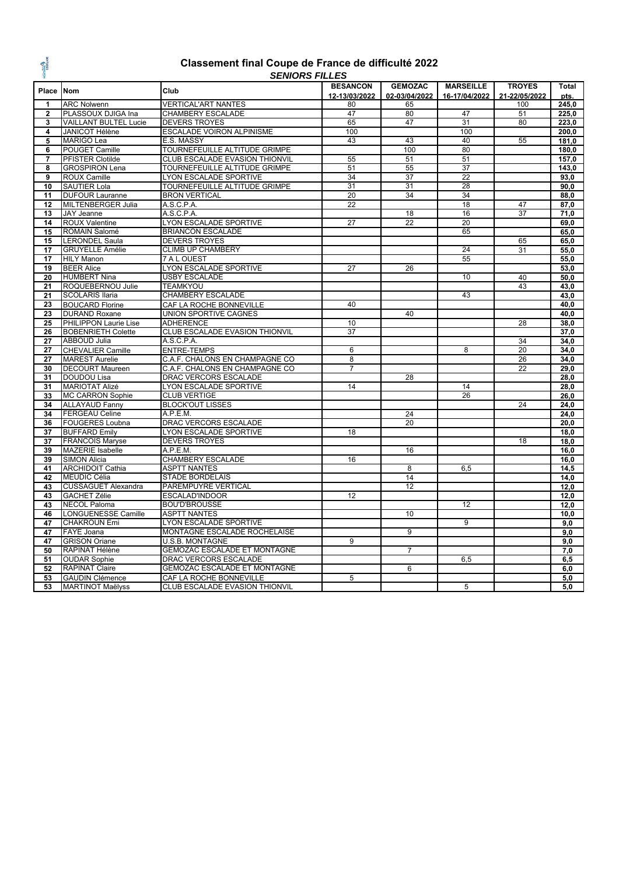

#### **Classement final Coupe de France de difficulté 2022** *SENIORS FILLES*

|                |                                              | טשבו ו טווטוועט                                |                 |                 |                  |               |       |
|----------------|----------------------------------------------|------------------------------------------------|-----------------|-----------------|------------------|---------------|-------|
| Place Nom      |                                              | Club                                           | <b>BESANCON</b> | <b>GEMOZAC</b>  | <b>MARSEILLE</b> | <b>TROYES</b> | Total |
|                |                                              |                                                | 12-13/03/2022   | 02-03/04/2022   | 16-17/04/2022    | 21-22/05/2022 | pts.  |
| 1              | <b>ARC Nolwenn</b>                           | <b>VERTICAL'ART NANTES</b>                     | 80              | 65              |                  | 100           | 245,0 |
| $\mathbf{2}$   | PLASSOUX DJIGA Ina                           | <b>CHAMBERY ESCALADE</b>                       | 47              | 80              | 47               | 51            | 225,0 |
| 3              | <b>VAILLANT BULTEL Lucie</b>                 | <b>DEVERS TROYES</b>                           | 65              | 47              | $\overline{31}$  | 80            | 223.0 |
| 4              | JANICOT Hélène                               | ESCALADE VOIRON ALPINISME                      | 100             |                 | 100              |               | 200,0 |
| 5              | <b>MARIGO Lea</b>                            | E.S. MASSY                                     | 43              | 43              | 40               | 55            | 181,0 |
| 6              | <b>POUGET Camille</b>                        | TOURNEFEUILLE ALTITUDE GRIMPE                  |                 | 100             | 80               |               | 180,0 |
| $\overline{7}$ | PFISTER Clotilde                             | CLUB ESCALADE EVASION THIONVIL                 | 55              | 51              | 51               |               | 157,0 |
| 8              | <b>GROSPIRON Lena</b>                        | TOURNEFEUILLE ALTITUDE GRIMPE                  | 51              | 55              | 37               |               | 143,0 |
| 9              | ROUX Camille                                 | LYON ESCALADE SPORTIVE                         | 34              | 37              | $\overline{22}$  |               | 93,0  |
| 10             | <b>SAUTIER Lola</b>                          | TOURNEFEUILLE ALTITUDE GRIMPE                  | 31              | 31              | 28               |               | 90,0  |
| 11             | <b>DUFOUR Lauranne</b>                       | <b>BRON VERTICAL</b>                           | 20              | 34              | 34               |               | 88,0  |
| 12             | MILTENBERGER Julia                           | A.S.C.P.A.                                     | 22              |                 | 18               | 47            | 87,0  |
| 13             | <b>JAY Jeanne</b>                            | A.S.C.P.A.                                     |                 | 18              | 16               | 37            | 71.0  |
| 14             | <b>ROUX Valentine</b>                        | LYON ESCALADE SPORTIVE                         | 27              | 22              | $\overline{20}$  |               | 69,0  |
| 15             | ROMAIN Salomé                                | <b>BRIANCON ESCALADE</b>                       |                 |                 | 65               |               | 65,0  |
| 15             | <b>LERONDEL Saula</b>                        | <b>DEVERS TROYES</b>                           |                 |                 |                  | 65            | 65,0  |
| 17             | <b>GRUYELLE Amélie</b>                       | <b>CLIMB UP CHAMBÉRY</b>                       |                 |                 | 24               | 31            | 55,0  |
| 17             | <b>HILY Manon</b>                            | <b>7 A L OUEST</b>                             |                 |                 | 55               |               | 55,0  |
| 19             | <b>BEER Alice</b>                            |                                                | 27              | $\overline{26}$ |                  |               | 53,0  |
| 20             | <b>HUMBERT Nina</b>                          | LYON ESCALADE SPORTIVE<br><b>USBY ESCALADE</b> |                 |                 | 10               | 40            |       |
|                |                                              |                                                |                 |                 |                  |               | 50,0  |
| 21             | ROQUEBERNOU Julie                            | <b>TEAMKYOU</b>                                |                 |                 |                  | 43            | 43,0  |
| 21             | <b>SCOLARIS Ilaria</b>                       | CHAMBERY ESCALADE                              |                 |                 | 43               |               | 43.0  |
| 23             | <b>BOUCARD Florine</b>                       | CAF LA ROCHE BONNEVILLE                        | 40              |                 |                  |               | 40,0  |
| 23             | <b>DURAND Roxane</b>                         | UNION SPORTIVE CAGNES                          |                 | 40              |                  |               | 40,0  |
| 25             | PHILIPPON Laurie Lise                        | <b>ADHERENCE</b>                               | 10              |                 |                  | 28            | 38,0  |
| 26             | <b>BOBENRIETH Colette</b>                    | CLUB ESCALADE EVASION THIONVIL                 | 37              |                 |                  |               | 37,0  |
| 27             | ABBOUD Julia                                 | A.S.C.P.A.                                     |                 |                 |                  | 34            | 34,0  |
| 27             | <b>CHEVALIER Camille</b>                     | <b>ENTRE-TEMPS</b>                             | 6               |                 | 8                | 20            | 34,0  |
| 27             | <b>MAREST Aurelie</b>                        | C.A.F. CHALONS EN CHAMPAGNE CO                 | 8               |                 |                  | 26            | 34,0  |
| 30             | <b>DECOURT Maureen</b>                       | C.A.F. CHALONS EN CHAMPAGNE CO                 | 7               |                 |                  | 22            | 29,0  |
| 31             | DOUDOU Lisa                                  | DRAC VERCORS ESCALADE                          |                 | 28              |                  |               | 28,0  |
| 31             | <b>MARIOTAT Alizé</b>                        | LYON ESCALADE SPORTIVE                         | 14              |                 | 14               |               | 28,0  |
| 33             | <b>MC CARRON Sophie</b>                      | <b>CLUB VERTIGE</b>                            |                 |                 | 26               |               | 26,0  |
| 34             | <b>ALLAYAUD Fanny</b>                        | <b>BLOCK'OUT LISSES</b>                        |                 |                 |                  | 24            | 24,0  |
| 34             | <b>FERGEAU Celine</b>                        | A.P.E.M.                                       |                 | $\overline{24}$ |                  |               | 24,0  |
| 36             | <b>FOUGERES Loubna</b>                       | DRAC VERCORS ESCALADE                          |                 | 20              |                  |               | 20,0  |
| 37             | <b>BUFFARD Emily</b>                         | LYON ESCALADE SPORTIVE                         | 18              |                 |                  |               | 18.0  |
| 37             | <b>FRANCOIS Maryse</b>                       | DEVERS TROYES                                  |                 |                 |                  | 18            | 18,0  |
| 39             | <b>MAZERIE Isabelle</b>                      | A.P.E.M.                                       |                 | 16              |                  |               | 16,0  |
| 39             | <b>SIMON Alicia</b>                          | <b>CHAMBERY ESCALADE</b>                       | 16              |                 |                  |               | 16,0  |
| 41             | <b>ARCHIDOIT Cathia</b>                      | <b>ASPTT NANTES</b>                            |                 | $\overline{8}$  | 6,5              |               | 14,5  |
| 42             | <b>MEUDIC Célia</b>                          | <b>STADE BORDELAIS</b>                         |                 | 14              |                  |               | 14,0  |
| 43             | <b>CUSSAGUET Alexandra</b>                   | PAREMPUYRE VERTICAL                            |                 | 12              |                  |               | 12,0  |
| 43             | <b>GACHET Zélie</b>                          | ESCALAD'INDOOR                                 | 12              |                 |                  |               | 12,0  |
| 43             | <b>NECOL Paloma</b>                          | <b>BOU'D'BROUSSE</b>                           |                 |                 | 12               |               | 12,0  |
| 46             | LONGUENESSE Camille                          | <b>ASPTT NANTES</b>                            |                 | 10              |                  |               | 10,0  |
| 47             | <b>CHAKROUN Emi</b>                          | <b>LYON ESCALADE SPORTIVE</b>                  |                 |                 | $\overline{9}$   |               | 9.0   |
| 47             | FAYE Joana                                   | MONTAGNE ESCALADE ROCHELAISE                   |                 | $\overline{9}$  |                  |               | 9,0   |
| 47             | <b>GRISON Oriane</b>                         | <b>U.S.B. MONTAGNE</b>                         | $\overline{9}$  |                 |                  |               | 9,0   |
| 50             | RAPINAT Hélène                               | <b>GEMOZAC ESCALADE ET MONTAGNE</b>            |                 | $\overline{7}$  |                  |               | 7,0   |
| 51             |                                              | DRAC VERCORS ESCALADE                          |                 |                 | 6,5              |               |       |
|                | <b>OUDAR Sophie</b><br><b>RAPINAT Claire</b> | <b>GEMOZAC ESCALADE ET MONTAGNE</b>            |                 |                 |                  |               | 6,5   |
| 52             |                                              |                                                |                 | 6               |                  |               | 6,0   |
| 53             | <b>GAUDIN Clémence</b>                       | CAF LA ROCHE BONNEVILLE                        | 5               |                 |                  |               | 5,0   |
| 53             | <b>MARTINOT Maëlyss</b>                      | CLUB ESCALADE EVASION THIONVIL                 |                 |                 | 5                |               | 5,0   |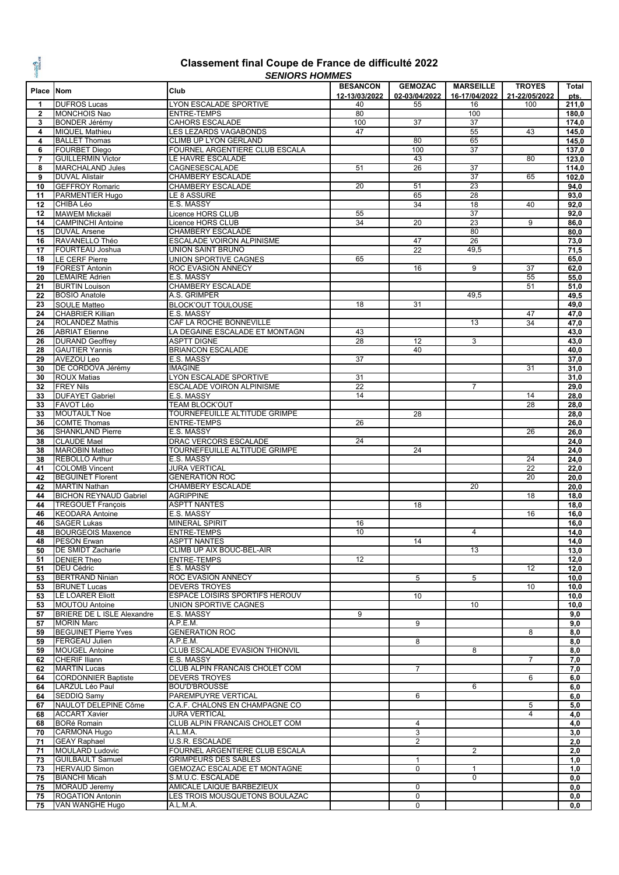**CALCONS** 

#### **Classement final Coupe de France de difficulté 2022** *SENIORS HOMMES*

|                |                                   | ט ווייוטו ו טויטויום                  |                 |                 |                  |                 |       |
|----------------|-----------------------------------|---------------------------------------|-----------------|-----------------|------------------|-----------------|-------|
| Place Nom      |                                   | Club                                  | <b>BESANCON</b> | <b>GEMOZAC</b>  | <b>MARSEILLE</b> | <b>TROYES</b>   | Total |
|                |                                   |                                       | 12-13/03/2022   | 02-03/04/2022   | 16-17/04/2022    | 21-22/05/2022   | pts.  |
| 1              | <b>DUFROS Lucas</b>               | LYON ESCALADE SPORTIVE                | 40              | 55              | 16               | 100             | 211,0 |
| $\mathbf{2}$   | <b>MONCHOIS Nao</b>               | <b>ENTRE-TEMPS</b>                    | 80              |                 | 100              |                 | 180,0 |
| 3              | <b>BONDER Jérémy</b>              | <b>CAHORS ESCALADE</b>                | 100             | 37              | 37               |                 | 174,0 |
| 4              | <b>MIQUEL Mathieu</b>             | LES LEZARDS VAGABONDS                 | 47              |                 | 55               | 43              | 145,0 |
| 4              | <b>BALLET Thomas</b>              | CLIMB UP LYON GERLAND                 |                 | 80              | 65               |                 | 145,0 |
|                |                                   | <b>FOURNEL ARGENTIERE CLUB ESCALA</b> |                 |                 |                  |                 |       |
| 6              | <b>FOURBET Diego</b>              |                                       |                 | 100             | 37               |                 | 137,0 |
| $\overline{7}$ | <b>GUILLERMIN Victor</b>          | LE HAVRE ESCALADE                     |                 | 43              |                  | 80              | 123,0 |
| 8              | <b>MARCHALAND Jules</b>           | CAGNESESCALADE                        | 51              | 26              | 37               |                 | 114,0 |
| 9              | <b>DUVAL Alistair</b>             | CHAMBERY ESCALADE                     |                 |                 | 37               | 65              | 102,0 |
| 10             | <b>GEFFROY Romaric</b>            | <b>CHAMBERY ESCALADE</b>              | 20              | 51              | 23               |                 | 94,0  |
| 11             | PARMENTIER Hugo                   | LE 8 ASSURE                           |                 | 65              | 28               |                 | 93,0  |
|                | CHIBA Léo                         |                                       |                 |                 |                  |                 |       |
| 12             |                                   | E.S. MASSY                            |                 | 34              | 18               | 40              | 92,0  |
| 12             | <b>MAWEM Mickaël</b>              | Licence HORS CLUB                     | 55              |                 | 37               |                 | 92,0  |
| 14             | <b>CAMPINCHI Antoine</b>          | Licence HORS CLUB                     | 34              | 20              | 23               | 9               | 86,0  |
| 15             | <b>DUVAL Arsene</b>               | CHAMBERY ESCALADE                     |                 |                 | 80               |                 | 80,0  |
| 16             | RAVANELLO Théo                    | ESCALADE VOIRON ALPINISME             |                 | 47              | 26               |                 | 73,0  |
| 17             | FOURTEAU Joshua                   | <b>UNION SAINT BRUNO</b>              |                 | $\overline{22}$ | 49,5             |                 | 71,5  |
| 18             |                                   | UNION SPORTIVE CAGNES                 | 65              |                 |                  |                 |       |
|                | <b>LE CERF Pierre</b>             |                                       |                 |                 |                  |                 | 65,0  |
| 19             | <b>FOREST Antonin</b>             | ROC EVASION ANNECY                    |                 | 16              | $\overline{9}$   | $\overline{37}$ | 62,0  |
| 20             | <b>LEMAIRE Adrien</b>             | E.S. MASSY                            |                 |                 |                  | 55              | 55,0  |
| 21             | <b>BURTIN Louison</b>             | <b>CHAMBERY ESCALADE</b>              |                 |                 |                  | 51              | 51,0  |
| 22             | <b>BOSIO Anatole</b>              | A.S. GRIMPER                          |                 |                 | 49,5             |                 | 49,5  |
| 23             | <b>SOULE Matteo</b>               | <b>BLOCK'OUT TOULOUSE</b>             | 18              | 31              |                  |                 | 49,0  |
| 24             | <b>CHABRIER Killian</b>           | E.S. MASSY                            |                 |                 |                  | 47              | 47,0  |
|                | <b>ROLANDEZ Mathis</b>            |                                       |                 |                 |                  |                 |       |
| 24             |                                   | CAF LA ROCHE BONNEVILLE               |                 |                 | 13               | 34              | 47,0  |
| 26             | <b>ABRIAT Etienne</b>             | LA DEGAINE ESCALADE ET MONTAGN        | 43              |                 |                  |                 | 43,0  |
| 26             | <b>DURAND Geoffrey</b>            | <b>ASPTT DIGNE</b>                    | 28              | 12              | 3                |                 | 43,0  |
| 28             | <b>GAUTIER Yannis</b>             | <b>BRIANCON ESCALADE</b>              |                 | 40              |                  |                 | 40,0  |
| 29             | AVEZOU Leo                        | E.S. MASSY                            | 37              |                 |                  |                 | 37,0  |
| 30             | DE CORDOVA Jérémy                 | <b>IMAGINE</b>                        |                 |                 |                  | 31              | 31,0  |
|                |                                   | LYON ESCALADE SPORTIVE                | 31              |                 |                  |                 |       |
| 30             | <b>ROUX Matias</b>                |                                       |                 |                 |                  |                 | 31,0  |
| 32             | <b>FREY Nils</b>                  | ESCALADE VOIRON ALPINISME             | 22              |                 | $\overline{7}$   |                 | 29,0  |
| 33             | <b>DUFAYET Gabriel</b>            | E.S. MASSY                            | 14              |                 |                  | 14              | 28,0  |
| 33             | FAVOT Léo                         | <b>TEAM BLOCK'OUT</b>                 |                 |                 |                  | $\overline{28}$ | 28,0  |
| 33             | <b>MOUTAULT Noe</b>               | TOURNEFEUILLE ALTITUDE GRIMPE         |                 | 28              |                  |                 | 28,0  |
| 36             | <b>COMTE Thomas</b>               | <b>ENTRE-TEMPS</b>                    | 26              |                 |                  |                 | 26,0  |
| 36             | <b>SHANKLAND Pierre</b>           | E.S. MASSY                            |                 |                 |                  | 26              | 26,0  |
|                |                                   |                                       |                 |                 |                  |                 |       |
| 38             | <b>CLAUDE Mael</b>                | DRAC VERCORS ESCALADE                 | 24              |                 |                  |                 | 24,0  |
| 38             | <b>MAROBIN Matteo</b>             | TOURNEFEUILLE ALTITUDE GRIMPE         |                 | 24              |                  |                 | 24,0  |
| 38             | <b>REBOLLO Arthur</b>             | E.S. MASSY                            |                 |                 |                  | 24              | 24,0  |
| 41             | <b>COLOMB Vincent</b>             | <b>JURA VERTICAL</b>                  |                 |                 |                  | $\overline{22}$ | 22,0  |
| 42             | <b>BEGUINET Florent</b>           | <b>GENERATION ROC</b>                 |                 |                 |                  | 20              | 20,0  |
| 42             | <b>MARTIN Nathan</b>              | CHAMBERY ESCALADE                     |                 |                 | 20               |                 | 20,0  |
| 44             | <b>BICHON REYNAUD Gabriel</b>     | <b>AGRIPPINE</b>                      |                 |                 |                  | 18              | 18,0  |
|                |                                   |                                       |                 |                 |                  |                 |       |
| 44             | <b>TREGOUET François</b>          | <b>ASPTT NANTES</b>                   |                 | 18              |                  |                 | 18,0  |
| 46             | <b>KEODARA Antoine</b>            | E.S. MASSY                            |                 |                 |                  | 16              | 16,0  |
| 46             | <b>SAGER Lukas</b>                | <b>MINERAL SPIRIT</b>                 | 16              |                 |                  |                 | 16,0  |
| 48             | <b>BOURGEOIS Maxence</b>          | <b>ENTRE-TEMPS</b>                    | 10              |                 | 4                |                 | 14,0  |
| 48             | <b>PESON Erwan</b>                | <b>ASPTT NANTES</b>                   |                 | 14              |                  |                 | 14,0  |
| 50             | DE SMIDT Zacharie                 | CLIMB UP AIX BOUC-BEL-AIR             |                 |                 | 13               |                 | 13,0  |
|                |                                   |                                       |                 |                 |                  |                 |       |
| 51             | <b>DENIER Theo</b>                | <b>ENTRE-TEMPS</b>                    | 12              |                 |                  |                 | 12,0  |
| 51             | <b>DEU Cédric</b>                 | E.S. MASSY                            |                 |                 |                  | 12              | 12,0  |
| 53             | <b>BERTRAND Ninian</b>            | ROC EVASION ANNECY                    |                 | 5               | 5                |                 | 10,0  |
| 53             | <b>BRUNET Lucas</b>               | <b>DEVERS TROYES</b>                  |                 |                 |                  | 10              | 10,0  |
| 53             | <b>LE LOARER Eliott</b>           | <b>ESPACE LOISIRS SPORTIFS HEROUV</b> |                 | 10              |                  |                 | 10,0  |
| 53             | <b>MOUTOU Antoine</b>             | UNION SPORTIVE CAGNES                 |                 |                 | 10               |                 | 10,0  |
| 57             | <b>BRIERE DE L ISLE Alexandre</b> | E.S. MASSY                            | 9               |                 |                  |                 | 9,0   |
|                | <b>MORIN Marc</b>                 |                                       |                 |                 |                  |                 |       |
| 57             |                                   | A.P.E.M.                              |                 | 9               |                  |                 | 9,0   |
| 59             | <b>BEGUINET Pierre Yves</b>       | <b>GENERATION ROC</b>                 |                 |                 |                  | 8               | 8,0   |
| 59             | FERGEAU Julien                    | A.P.E.M.                              |                 | 8               |                  |                 | 8,0   |
| 59             | <b>MOUGEL Antoine</b>             | CLUB ESCALADE EVASION THIONVIL        |                 |                 | 8                |                 | 8,0   |
| 62             | <b>CHERIF Iliann</b>              | E.S. MASSY                            |                 |                 |                  | $\overline{7}$  | 7,0   |
| 62             | <b>MARTIN Lucas</b>               | CLUB ALPIN FRANCAIS CHOLET COM        |                 | $\overline{7}$  |                  |                 | 7,0   |
| 64             | <b>CORDONNIER Baptiste</b>        | <b>DEVERS TROYES</b>                  |                 |                 |                  | 6               |       |
|                |                                   |                                       |                 |                 |                  |                 | 6,0   |
| 64             | LARZUL Léo Paul                   | <b>BOU'D'BROUSSE</b>                  |                 |                 | 6                |                 | 6,0   |
| 64             | SEDDIQ Samy                       | PAREMPUYRE VERTICAL                   |                 | 6               |                  |                 | 6,0   |
| 67             | NAULOT DELEPINE Côme              | C.A.F. CHALONS EN CHAMPAGNE CO        |                 |                 |                  | 5               | 5,0   |
| 68             | <b>ACCART Xavier</b>              | <b>JURA VERTICAL</b>                  |                 |                 |                  | $\overline{4}$  | 4,0   |
| 68             | <b>BORé Romain</b>                | CLUB ALPIN FRANCAIS CHOLET COM        |                 | $\overline{4}$  |                  |                 | 4,0   |
| 70             | <b>CARMONA Hugo</b>               | A.L.M.A.                              |                 | 3               |                  |                 | 3,0   |
|                |                                   |                                       |                 |                 |                  |                 |       |
| 71             | <b>GEAY Raphael</b>               | U.S.R. ESCALADE                       |                 | $\overline{2}$  |                  |                 | 2,0   |
| 71             | <b>MOULARD Ludovic</b>            | FOURNEL ARGENTIERE CLUB ESCALA        |                 |                 | 2                |                 | 2,0   |
| 73             | <b>GUILBAULT Samuel</b>           | <b>GRIMPEURS DES SABLES</b>           |                 | $\mathbf{1}$    |                  |                 | 1,0   |
| 73             | <b>HERVAUD Simon</b>              | GEMOZAC ESCALADE ET MONTAGNE          |                 | 0               | $\mathbf{1}$     |                 | 1,0   |
| 75             | <b>BIANCHI Micah</b>              | S.M.U.C. ESCALADE                     |                 |                 | $\mathbf 0$      |                 | 0,0   |
| 75             | <b>MORAUD Jeremy</b>              | AMICALE LAIQUE BARBEZIEUX             |                 | $\mathbf 0$     |                  |                 | 0,0   |
|                |                                   |                                       |                 |                 |                  |                 |       |
| 75             | <b>ROGATION Antonin</b>           | LES TROIS MOUSQUETONS BOULAZAC        |                 | $\mathbf 0$     |                  |                 | 0,0   |
| 75             | VAN WANGHE Hugo                   | A.L.M.A.                              |                 | 0               |                  |                 | 0, 0  |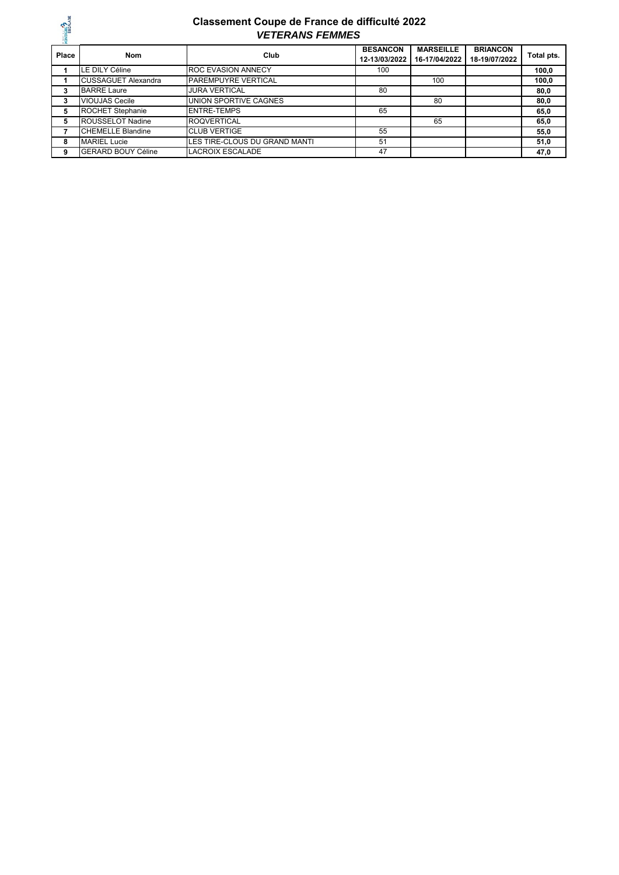

#### *VETERANS FEMMES* **Classement Coupe de France de difficulté 2022**

| <b>THE</b><br>Place | <b>Nom</b>                 | Club                          | <b>BESANCON</b><br>12-13/03/2022 | <b>MARSEILLE</b><br>16-17/04/2022 | <b>BRIANCON</b><br>18-19/07/2022 | Total pts. |
|---------------------|----------------------------|-------------------------------|----------------------------------|-----------------------------------|----------------------------------|------------|
|                     | LE DILY Céline             | <b>ROC EVASION ANNECY</b>     | 100                              |                                   |                                  | 100,0      |
|                     | <b>CUSSAGUET Alexandra</b> | <b>PAREMPUYRE VERTICAL</b>    |                                  | 100                               |                                  | 100.0      |
| 3                   | <b>BARRE Laure</b>         | <b>JURA VERTICAL</b>          | 80                               |                                   |                                  | 80,0       |
| 3                   | <b>VIOUJAS Cecile</b>      | UNION SPORTIVE CAGNES         |                                  | 80                                |                                  | 80,0       |
| 5                   | <b>ROCHET Stephanie</b>    | <b>ENTRE-TEMPS</b>            | 65                               |                                   |                                  | 65,0       |
| 5                   | <b>ROUSSELOT Nadine</b>    | <b>ROQVERTICAL</b>            |                                  | 65                                |                                  | 65,0       |
|                     | <b>CHEMELLE Blandine</b>   | <b>CLUB VERTIGE</b>           | 55                               |                                   |                                  | 55,0       |
| 8                   | <b>MARIEL Lucie</b>        | LES TIRE-CLOUS DU GRAND MANTI | 51                               |                                   |                                  | 51,0       |
| 9                   | <b>GERARD BOUY Céline</b>  | <b>LACROIX ESCALADE</b>       | 47                               |                                   |                                  | 47,0       |